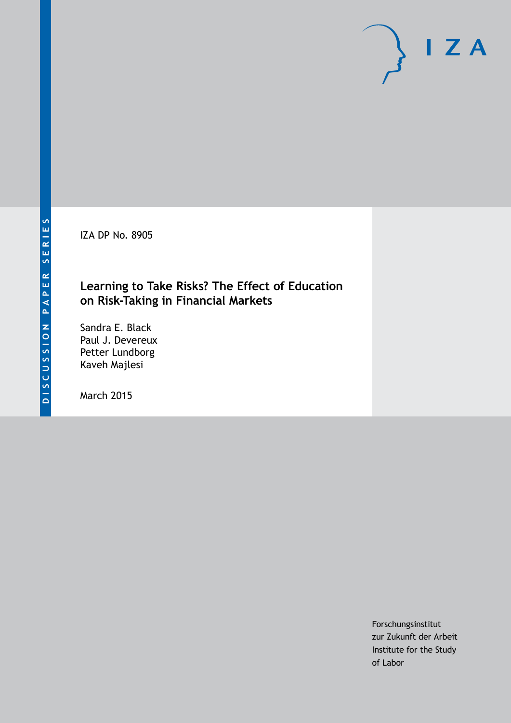IZA DP No. 8905

## **Learning to Take Risks? The Effect of Education on Risk-Taking in Financial Markets**

Sandra E. Black Paul J. Devereux Petter Lundborg Kaveh Majlesi

March 2015

Forschungsinstitut zur Zukunft der Arbeit Institute for the Study of Labor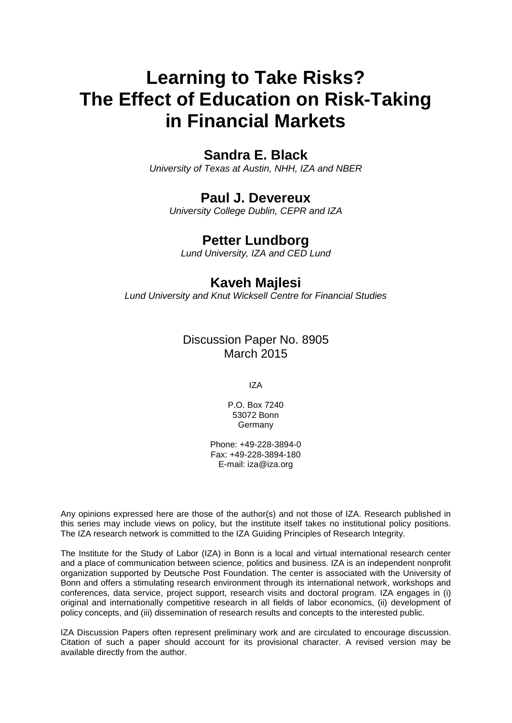# **Learning to Take Risks? The Effect of Education on Risk-Taking in Financial Markets**

# **Sandra E. Black**

*University of Texas at Austin, NHH, IZA and NBER*

### **Paul J. Devereux**

*University College Dublin, CEPR and IZA*

### **Petter Lundborg**

*Lund University, IZA and CED Lund*

## **Kaveh Majlesi**

*Lund University and Knut Wicksell Centre for Financial Studies*

### Discussion Paper No. 8905 March 2015

IZA

P.O. Box 7240 53072 Bonn Germany

Phone: +49-228-3894-0 Fax: +49-228-3894-180 E-mail: iza@iza.org

Any opinions expressed here are those of the author(s) and not those of IZA. Research published in this series may include views on policy, but the institute itself takes no institutional policy positions. The IZA research network is committed to the IZA Guiding Principles of Research Integrity.

The Institute for the Study of Labor (IZA) in Bonn is a local and virtual international research center and a place of communication between science, politics and business. IZA is an independent nonprofit organization supported by Deutsche Post Foundation. The center is associated with the University of Bonn and offers a stimulating research environment through its international network, workshops and conferences, data service, project support, research visits and doctoral program. IZA engages in (i) original and internationally competitive research in all fields of labor economics, (ii) development of policy concepts, and (iii) dissemination of research results and concepts to the interested public.

<span id="page-1-0"></span>IZA Discussion Papers often represent preliminary work and are circulated to encourage discussion. Citation of such a paper should account for its provisional character. A revised version may be available directly from the author.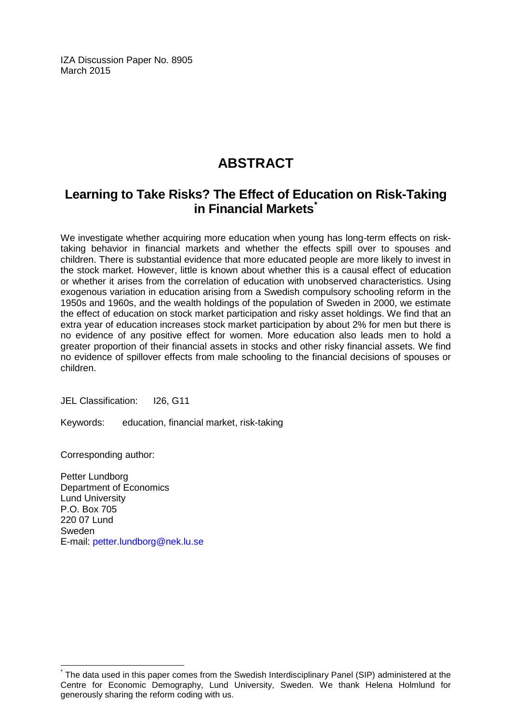IZA Discussion Paper No. 8905 March 2015

# **ABSTRACT**

# **Learning to Take Risks? The Effect of Education on Risk-Taking in Financial Markets[\\*](#page-1-0)**

We investigate whether acquiring more education when young has long-term effects on risktaking behavior in financial markets and whether the effects spill over to spouses and children. There is substantial evidence that more educated people are more likely to invest in the stock market. However, little is known about whether this is a causal effect of education or whether it arises from the correlation of education with unobserved characteristics. Using exogenous variation in education arising from a Swedish compulsory schooling reform in the 1950s and 1960s, and the wealth holdings of the population of Sweden in 2000, we estimate the effect of education on stock market participation and risky asset holdings. We find that an extra year of education increases stock market participation by about 2% for men but there is no evidence of any positive effect for women. More education also leads men to hold a greater proportion of their financial assets in stocks and other risky financial assets. We find no evidence of spillover effects from male schooling to the financial decisions of spouses or children.

JEL Classification: I26, G11

Keywords: education, financial market, risk-taking

Corresponding author:

Petter Lundborg Department of Economics Lund University P.O. Box 705 220 07 Lund Sweden E-mail: [petter.lundborg@nek.lu.se](mailto:petter.lundborg@nek.lu.se)

\* The data used in this paper comes from the Swedish Interdisciplinary Panel (SIP) administered at the Centre for Economic Demography, Lund University, Sweden. We thank Helena Holmlund for generously sharing the reform coding with us.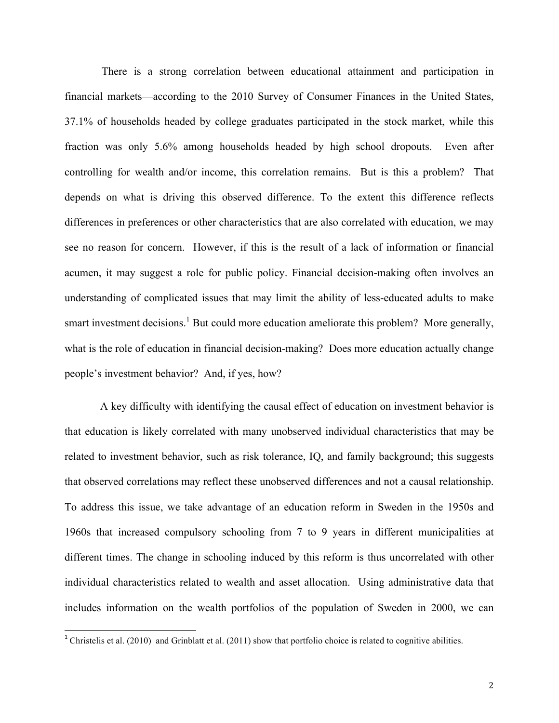There is a strong correlation between educational attainment and participation in financial markets—according to the 2010 Survey of Consumer Finances in the United States, 37.1% of households headed by college graduates participated in the stock market, while this fraction was only 5.6% among households headed by high school dropouts. Even after controlling for wealth and/or income, this correlation remains. But is this a problem? That depends on what is driving this observed difference. To the extent this difference reflects differences in preferences or other characteristics that are also correlated with education, we may see no reason for concern. However, if this is the result of a lack of information or financial acumen, it may suggest a role for public policy. Financial decision-making often involves an understanding of complicated issues that may limit the ability of less-educated adults to make smart investment decisions.<sup>1</sup> But could more education ameliorate this problem? More generally, what is the role of education in financial decision-making? Does more education actually change people's investment behavior? And, if yes, how?

A key difficulty with identifying the causal effect of education on investment behavior is that education is likely correlated with many unobserved individual characteristics that may be related to investment behavior, such as risk tolerance, IQ, and family background; this suggests that observed correlations may reflect these unobserved differences and not a causal relationship. To address this issue, we take advantage of an education reform in Sweden in the 1950s and 1960s that increased compulsory schooling from 7 to 9 years in different municipalities at different times. The change in schooling induced by this reform is thus uncorrelated with other individual characteristics related to wealth and asset allocation. Using administrative data that includes information on the wealth portfolios of the population of Sweden in 2000, we can

<sup>&</sup>lt;sup>1</sup> Christelis et al. (2010) and Grinblatt et al. (2011) show that portfolio choice is related to cognitive abilities.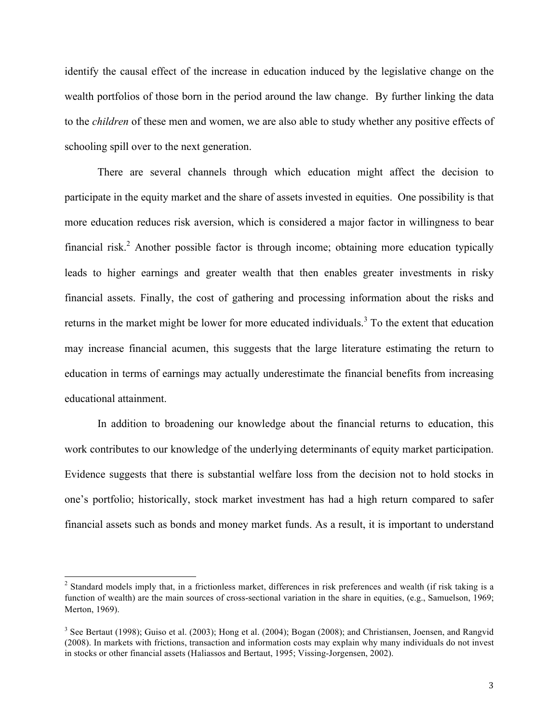identify the causal effect of the increase in education induced by the legislative change on the wealth portfolios of those born in the period around the law change. By further linking the data to the *children* of these men and women, we are also able to study whether any positive effects of schooling spill over to the next generation.

There are several channels through which education might affect the decision to participate in the equity market and the share of assets invested in equities. One possibility is that more education reduces risk aversion, which is considered a major factor in willingness to bear financial risk.<sup>2</sup> Another possible factor is through income; obtaining more education typically leads to higher earnings and greater wealth that then enables greater investments in risky financial assets. Finally, the cost of gathering and processing information about the risks and returns in the market might be lower for more educated individuals.<sup>3</sup> To the extent that education may increase financial acumen, this suggests that the large literature estimating the return to education in terms of earnings may actually underestimate the financial benefits from increasing educational attainment.

In addition to broadening our knowledge about the financial returns to education, this work contributes to our knowledge of the underlying determinants of equity market participation. Evidence suggests that there is substantial welfare loss from the decision not to hold stocks in one's portfolio; historically, stock market investment has had a high return compared to safer financial assets such as bonds and money market funds. As a result, it is important to understand

<sup>&</sup>lt;sup>2</sup> Standard models imply that, in a frictionless market, differences in risk preferences and wealth (if risk taking is a function of wealth) are the main sources of cross-sectional variation in the share in equities, (e.g., Samuelson, 1969; Merton, 1969).

<sup>&</sup>lt;sup>3</sup> See Bertaut (1998); Guiso et al. (2003); Hong et al. (2004); Bogan (2008); and Christiansen, Joensen, and Rangvid (2008). In markets with frictions, transaction and information costs may explain why many individuals do not invest in stocks or other financial assets (Haliassos and Bertaut, 1995; Vissing-Jorgensen, 2002).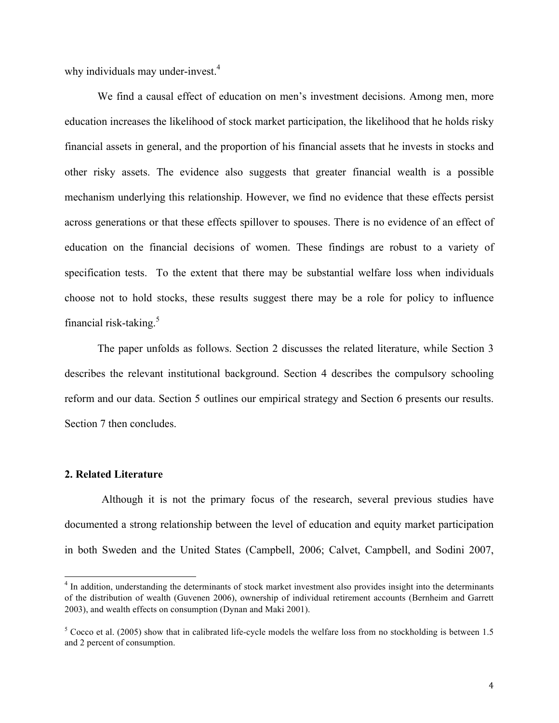why individuals may under-invest.<sup>4</sup>

We find a causal effect of education on men's investment decisions. Among men, more education increases the likelihood of stock market participation, the likelihood that he holds risky financial assets in general, and the proportion of his financial assets that he invests in stocks and other risky assets. The evidence also suggests that greater financial wealth is a possible mechanism underlying this relationship. However, we find no evidence that these effects persist across generations or that these effects spillover to spouses. There is no evidence of an effect of education on the financial decisions of women. These findings are robust to a variety of specification tests. To the extent that there may be substantial welfare loss when individuals choose not to hold stocks, these results suggest there may be a role for policy to influence financial risk-taking. $5$ 

The paper unfolds as follows. Section 2 discusses the related literature, while Section 3 describes the relevant institutional background. Section 4 describes the compulsory schooling reform and our data. Section 5 outlines our empirical strategy and Section 6 presents our results. Section 7 then concludes.

#### **2. Related Literature**

Although it is not the primary focus of the research, several previous studies have documented a strong relationship between the level of education and equity market participation in both Sweden and the United States (Campbell, 2006; Calvet, Campbell, and Sodini 2007,

<sup>&</sup>lt;sup>4</sup> In addition, understanding the determinants of stock market investment also provides insight into the determinants of the distribution of wealth (Guvenen 2006), ownership of individual retirement accounts (Bernheim and Garrett 2003), and wealth effects on consumption (Dynan and Maki 2001).

 $5$  Cocco et al. (2005) show that in calibrated life-cycle models the welfare loss from no stockholding is between 1.5 and 2 percent of consumption.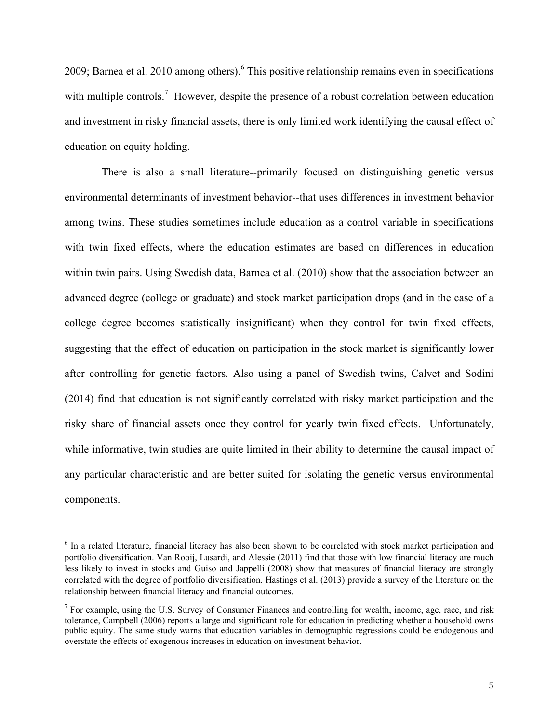2009; Barnea et al. 2010 among others).<sup>6</sup> This positive relationship remains even in specifications with multiple controls.<sup>7</sup> However, despite the presence of a robust correlation between education and investment in risky financial assets, there is only limited work identifying the causal effect of education on equity holding.

There is also a small literature--primarily focused on distinguishing genetic versus environmental determinants of investment behavior--that uses differences in investment behavior among twins. These studies sometimes include education as a control variable in specifications with twin fixed effects, where the education estimates are based on differences in education within twin pairs. Using Swedish data, Barnea et al. (2010) show that the association between an advanced degree (college or graduate) and stock market participation drops (and in the case of a college degree becomes statistically insignificant) when they control for twin fixed effects, suggesting that the effect of education on participation in the stock market is significantly lower after controlling for genetic factors. Also using a panel of Swedish twins, Calvet and Sodini (2014) find that education is not significantly correlated with risky market participation and the risky share of financial assets once they control for yearly twin fixed effects. Unfortunately, while informative, twin studies are quite limited in their ability to determine the causal impact of any particular characteristic and are better suited for isolating the genetic versus environmental components.

<sup>&</sup>lt;sup>6</sup> In a related literature, financial literacy has also been shown to be correlated with stock market participation and portfolio diversification. Van Rooij, Lusardi, and Alessie (2011) find that those with low financial literacy are much less likely to invest in stocks and Guiso and Jappelli (2008) show that measures of financial literacy are strongly correlated with the degree of portfolio diversification. Hastings et al. (2013) provide a survey of the literature on the relationship between financial literacy and financial outcomes.

<sup>&</sup>lt;sup>7</sup> For example, using the U.S. Survey of Consumer Finances and controlling for wealth, income, age, race, and risk tolerance, Campbell (2006) reports a large and significant role for education in predicting whether a household owns public equity. The same study warns that education variables in demographic regressions could be endogenous and overstate the effects of exogenous increases in education on investment behavior.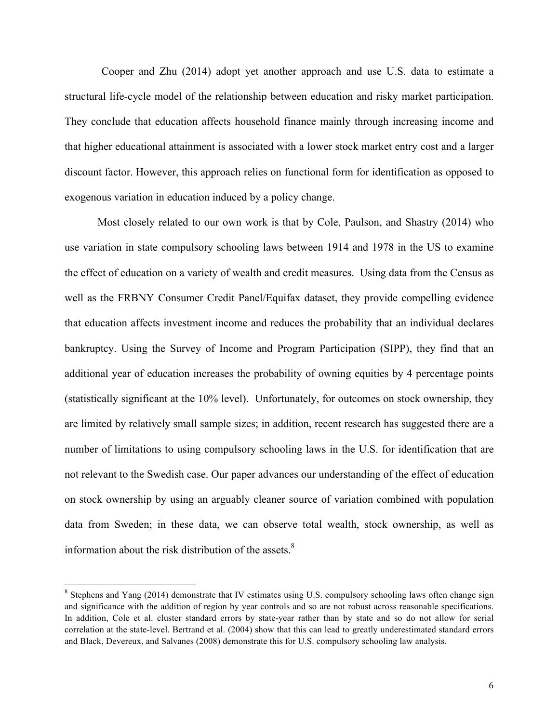Cooper and Zhu (2014) adopt yet another approach and use U.S. data to estimate a structural life-cycle model of the relationship between education and risky market participation. They conclude that education affects household finance mainly through increasing income and that higher educational attainment is associated with a lower stock market entry cost and a larger discount factor. However, this approach relies on functional form for identification as opposed to exogenous variation in education induced by a policy change.

Most closely related to our own work is that by Cole, Paulson, and Shastry (2014) who use variation in state compulsory schooling laws between 1914 and 1978 in the US to examine the effect of education on a variety of wealth and credit measures. Using data from the Census as well as the FRBNY Consumer Credit Panel/Equifax dataset, they provide compelling evidence that education affects investment income and reduces the probability that an individual declares bankruptcy. Using the Survey of Income and Program Participation (SIPP), they find that an additional year of education increases the probability of owning equities by 4 percentage points (statistically significant at the 10% level). Unfortunately, for outcomes on stock ownership, they are limited by relatively small sample sizes; in addition, recent research has suggested there are a number of limitations to using compulsory schooling laws in the U.S. for identification that are not relevant to the Swedish case. Our paper advances our understanding of the effect of education on stock ownership by using an arguably cleaner source of variation combined with population data from Sweden; in these data, we can observe total wealth, stock ownership, as well as information about the risk distribution of the assets. $8$ 

<sup>&</sup>lt;sup>8</sup> Stephens and Yang (2014) demonstrate that IV estimates using U.S. compulsory schooling laws often change sign and significance with the addition of region by year controls and so are not robust across reasonable specifications. In addition, Cole et al. cluster standard errors by state-year rather than by state and so do not allow for serial correlation at the state-level. Bertrand et al. (2004) show that this can lead to greatly underestimated standard errors and Black, Devereux, and Salvanes (2008) demonstrate this for U.S. compulsory schooling law analysis.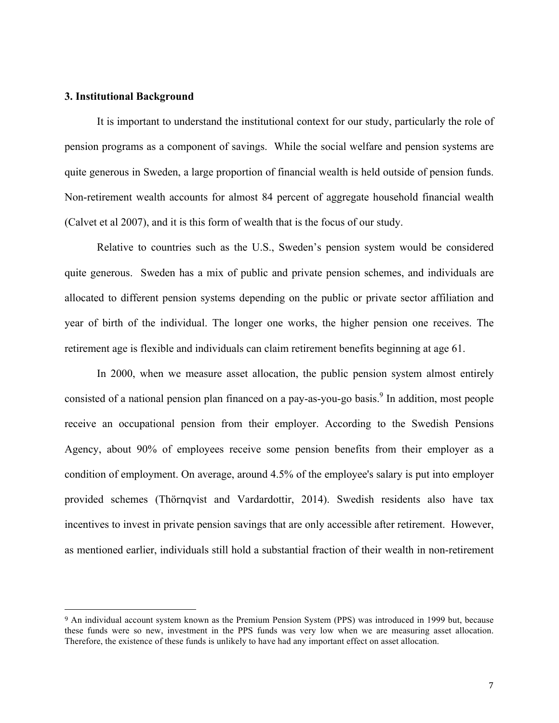#### **3. Institutional Background**

 

It is important to understand the institutional context for our study, particularly the role of pension programs as a component of savings. While the social welfare and pension systems are quite generous in Sweden, a large proportion of financial wealth is held outside of pension funds. Non-retirement wealth accounts for almost 84 percent of aggregate household financial wealth (Calvet et al 2007), and it is this form of wealth that is the focus of our study.

Relative to countries such as the U.S., Sweden's pension system would be considered quite generous. Sweden has a mix of public and private pension schemes, and individuals are allocated to different pension systems depending on the public or private sector affiliation and year of birth of the individual. The longer one works, the higher pension one receives. The retirement age is flexible and individuals can claim retirement benefits beginning at age 61.

In 2000, when we measure asset allocation, the public pension system almost entirely consisted of a national pension plan financed on a pay-as-you-go basis. <sup>9</sup> In addition, most people receive an occupational pension from their employer. According to the Swedish Pensions Agency, about 90% of employees receive some pension benefits from their employer as a condition of employment. On average, around 4.5% of the employee's salary is put into employer provided schemes (Thörnqvist and Vardardottir, 2014). Swedish residents also have tax incentives to invest in private pension savings that are only accessible after retirement. However, as mentioned earlier, individuals still hold a substantial fraction of their wealth in non-retirement

<sup>9</sup> An individual account system known as the Premium Pension System (PPS) was introduced in 1999 but, because these funds were so new, investment in the PPS funds was very low when we are measuring asset allocation. Therefore, the existence of these funds is unlikely to have had any important effect on asset allocation.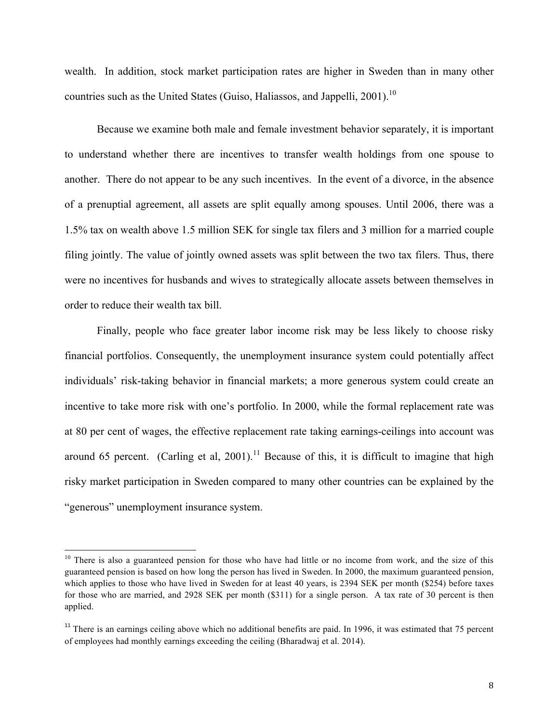wealth. In addition, stock market participation rates are higher in Sweden than in many other countries such as the United States (Guiso, Haliassos, and Jappelli, 2001).<sup>10</sup>

Because we examine both male and female investment behavior separately, it is important to understand whether there are incentives to transfer wealth holdings from one spouse to another. There do not appear to be any such incentives. In the event of a divorce, in the absence of a prenuptial agreement, all assets are split equally among spouses. Until 2006, there was a 1.5% tax on wealth above 1.5 million SEK for single tax filers and 3 million for a married couple filing jointly. The value of jointly owned assets was split between the two tax filers. Thus, there were no incentives for husbands and wives to strategically allocate assets between themselves in order to reduce their wealth tax bill.

Finally, people who face greater labor income risk may be less likely to choose risky financial portfolios. Consequently, the unemployment insurance system could potentially affect individuals' risk-taking behavior in financial markets; a more generous system could create an incentive to take more risk with one's portfolio. In 2000, while the formal replacement rate was at 80 per cent of wages, the effective replacement rate taking earnings-ceilings into account was around 65 percent. (Carling et al, 2001).<sup>11</sup> Because of this, it is difficult to imagine that high risky market participation in Sweden compared to many other countries can be explained by the "generous" unemployment insurance system.

 $10$  There is also a guaranteed pension for those who have had little or no income from work, and the size of this guaranteed pension is based on how long the person has lived in Sweden. In 2000, the maximum guaranteed pension, which applies to those who have lived in Sweden for at least 40 years, is 2394 SEK per month (\$254) before taxes for those who are married, and 2928 SEK per month (\$311) for a single person. A tax rate of 30 percent is then applied.

 $11$  There is an earnings ceiling above which no additional benefits are paid. In 1996, it was estimated that 75 percent of employees had monthly earnings exceeding the ceiling (Bharadwaj et al. 2014).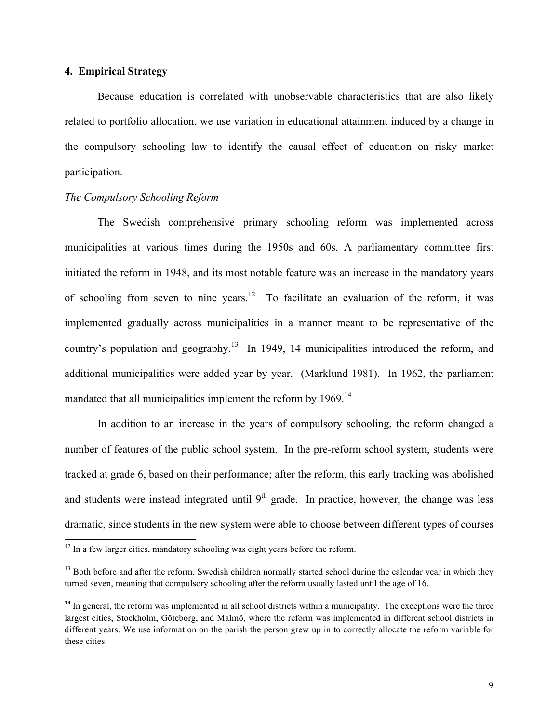### **4. Empirical Strategy**

Because education is correlated with unobservable characteristics that are also likely related to portfolio allocation, we use variation in educational attainment induced by a change in the compulsory schooling law to identify the causal effect of education on risky market participation.

#### *The Compulsory Schooling Reform*

The Swedish comprehensive primary schooling reform was implemented across municipalities at various times during the 1950s and 60s. A parliamentary committee first initiated the reform in 1948, and its most notable feature was an increase in the mandatory years of schooling from seven to nine years.<sup>12</sup> To facilitate an evaluation of the reform, it was implemented gradually across municipalities in a manner meant to be representative of the country's population and geography.<sup>13</sup> In 1949, 14 municipalities introduced the reform, and additional municipalities were added year by year. (Marklund 1981). In 1962, the parliament mandated that all municipalities implement the reform by 1969.<sup>14</sup>

In addition to an increase in the years of compulsory schooling, the reform changed a number of features of the public school system. In the pre-reform school system, students were tracked at grade 6, based on their performance; after the reform, this early tracking was abolished and students were instead integrated until  $9<sup>th</sup>$  grade. In practice, however, the change was less dramatic, since students in the new system were able to choose between different types of courses

 $12$  In a few larger cities, mandatory schooling was eight years before the reform.

<sup>&</sup>lt;sup>13</sup> Both before and after the reform, Swedish children normally started school during the calendar year in which they turned seven, meaning that compulsory schooling after the reform usually lasted until the age of 16.

 $14$  In general, the reform was implemented in all school districts within a municipality. The exceptions were the three largest cities, Stockholm, Göteborg, and Malmö, where the reform was implemented in different school districts in different years. We use information on the parish the person grew up in to correctly allocate the reform variable for these cities.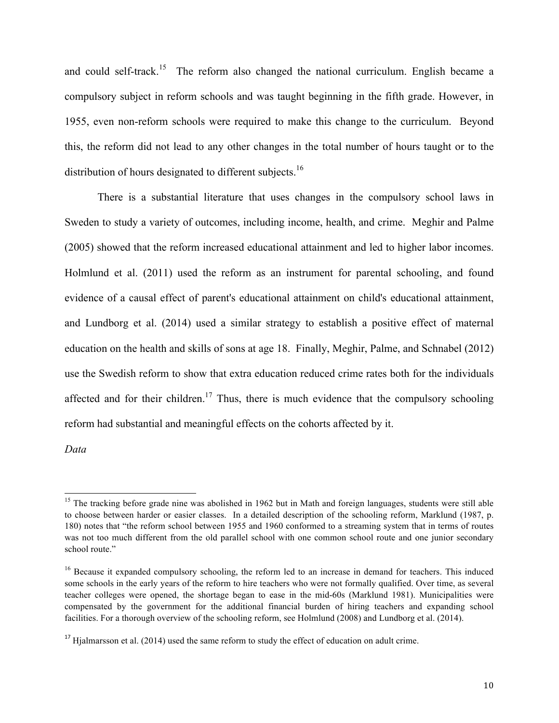and could self-track.<sup>15</sup> The reform also changed the national curriculum. English became a compulsory subject in reform schools and was taught beginning in the fifth grade. However, in 1955, even non-reform schools were required to make this change to the curriculum. Beyond this, the reform did not lead to any other changes in the total number of hours taught or to the distribution of hours designated to different subjects.<sup>16</sup>

There is a substantial literature that uses changes in the compulsory school laws in Sweden to study a variety of outcomes, including income, health, and crime. Meghir and Palme (2005) showed that the reform increased educational attainment and led to higher labor incomes. Holmlund et al. (2011) used the reform as an instrument for parental schooling, and found evidence of a causal effect of parent's educational attainment on child's educational attainment, and Lundborg et al. (2014) used a similar strategy to establish a positive effect of maternal education on the health and skills of sons at age 18. Finally, Meghir, Palme, and Schnabel (2012) use the Swedish reform to show that extra education reduced crime rates both for the individuals affected and for their children.<sup>17</sup> Thus, there is much evidence that the compulsory schooling reform had substantial and meaningful effects on the cohorts affected by it.

*Data*

 $15$  The tracking before grade nine was abolished in 1962 but in Math and foreign languages, students were still able to choose between harder or easier classes. In a detailed description of the schooling reform, Marklund (1987, p. 180) notes that "the reform school between 1955 and 1960 conformed to a streaming system that in terms of routes was not too much different from the old parallel school with one common school route and one junior secondary school route."

<sup>&</sup>lt;sup>16</sup> Because it expanded compulsory schooling, the reform led to an increase in demand for teachers. This induced some schools in the early years of the reform to hire teachers who were not formally qualified. Over time, as several teacher colleges were opened, the shortage began to ease in the mid-60s (Marklund 1981). Municipalities were compensated by the government for the additional financial burden of hiring teachers and expanding school facilities. For a thorough overview of the schooling reform, see Holmlund (2008) and Lundborg et al. (2014).

<sup>&</sup>lt;sup>17</sup> Hialmarsson et al. (2014) used the same reform to study the effect of education on adult crime.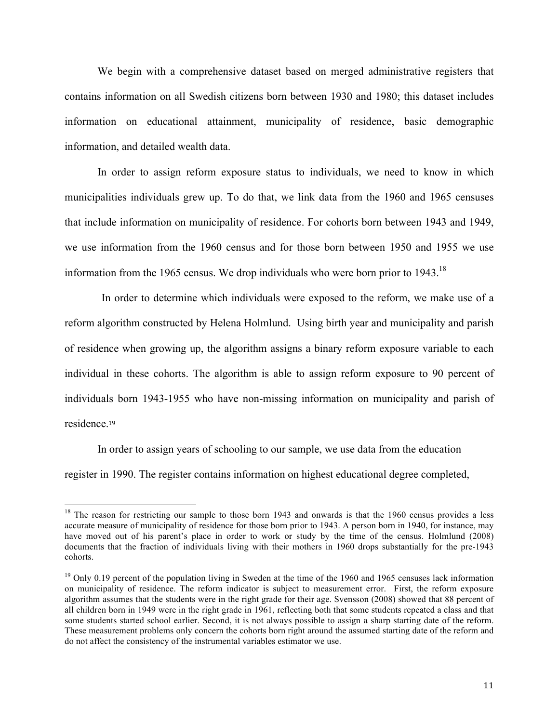We begin with a comprehensive dataset based on merged administrative registers that contains information on all Swedish citizens born between 1930 and 1980; this dataset includes information on educational attainment, municipality of residence, basic demographic information, and detailed wealth data.

In order to assign reform exposure status to individuals, we need to know in which municipalities individuals grew up. To do that, we link data from the 1960 and 1965 censuses that include information on municipality of residence. For cohorts born between 1943 and 1949, we use information from the 1960 census and for those born between 1950 and 1955 we use information from the 1965 census. We drop individuals who were born prior to  $1943$ .<sup>18</sup>

In order to determine which individuals were exposed to the reform, we make use of a reform algorithm constructed by Helena Holmlund. Using birth year and municipality and parish of residence when growing up, the algorithm assigns a binary reform exposure variable to each individual in these cohorts. The algorithm is able to assign reform exposure to 90 percent of individuals born 1943-1955 who have non-missing information on municipality and parish of residence<sup>19</sup>

In order to assign years of schooling to our sample, we use data from the education register in 1990. The register contains information on highest educational degree completed,

<sup>&</sup>lt;sup>18</sup> The reason for restricting our sample to those born 1943 and onwards is that the 1960 census provides a less accurate measure of municipality of residence for those born prior to 1943. A person born in 1940, for instance, may have moved out of his parent's place in order to work or study by the time of the census. Holmlund (2008) documents that the fraction of individuals living with their mothers in 1960 drops substantially for the pre-1943 cohorts.

 $19$  Only 0.19 percent of the population living in Sweden at the time of the 1960 and 1965 censuses lack information on municipality of residence. The reform indicator is subject to measurement error. First, the reform exposure algorithm assumes that the students were in the right grade for their age. Svensson (2008) showed that 88 percent of all children born in 1949 were in the right grade in 1961, reflecting both that some students repeated a class and that some students started school earlier. Second, it is not always possible to assign a sharp starting date of the reform. These measurement problems only concern the cohorts born right around the assumed starting date of the reform and do not affect the consistency of the instrumental variables estimator we use.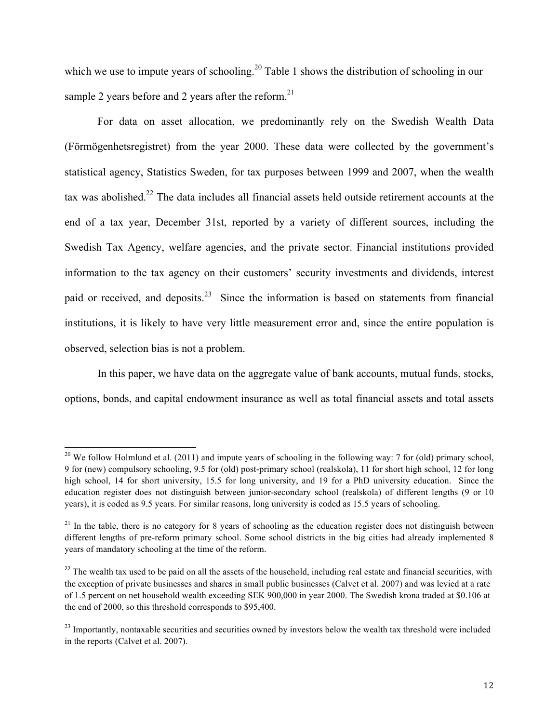which we use to impute years of schooling.<sup>20</sup> Table 1 shows the distribution of schooling in our sample 2 years before and 2 years after the reform.<sup>21</sup>

For data on asset allocation, we predominantly rely on the Swedish Wealth Data (Förmögenhetsregistret) from the year 2000. These data were collected by the government's statistical agency, Statistics Sweden, for tax purposes between 1999 and 2007, when the wealth tax was abolished.22 The data includes all financial assets held outside retirement accounts at the end of a tax year, December 31st, reported by a variety of different sources, including the Swedish Tax Agency, welfare agencies, and the private sector. Financial institutions provided information to the tax agency on their customers' security investments and dividends, interest paid or received, and deposits.<sup>23</sup> Since the information is based on statements from financial institutions, it is likely to have very little measurement error and, since the entire population is observed, selection bias is not a problem.

In this paper, we have data on the aggregate value of bank accounts, mutual funds, stocks, options, bonds, and capital endowment insurance as well as total financial assets and total assets

<sup>&</sup>lt;sup>20</sup> We follow Holmlund et al. (2011) and impute years of schooling in the following way: 7 for (old) primary school, 9 for (new) compulsory schooling, 9.5 for (old) post-primary school (realskola), 11 for short high school, 12 for long high school, 14 for short university, 15.5 for long university, and 19 for a PhD university education. Since the education register does not distinguish between junior-secondary school (realskola) of different lengths (9 or 10 years), it is coded as 9.5 years. For similar reasons, long university is coded as 15.5 years of schooling.

 $21$  In the table, there is no category for 8 years of schooling as the education register does not distinguish between different lengths of pre-reform primary school. Some school districts in the big cities had already implemented 8 years of mandatory schooling at the time of the reform.

<sup>&</sup>lt;sup>22</sup> The wealth tax used to be paid on all the assets of the household, including real estate and financial securities, with the exception of private businesses and shares in small public businesses (Calvet et al. 2007) and was levied at a rate of 1.5 percent on net household wealth exceeding SEK 900,000 in year 2000. The Swedish krona traded at \$0.106 at the end of 2000, so this threshold corresponds to \$95,400.

 $23$  Importantly, nontaxable securities and securities owned by investors below the wealth tax threshold were included in the reports (Calvet et al. 2007).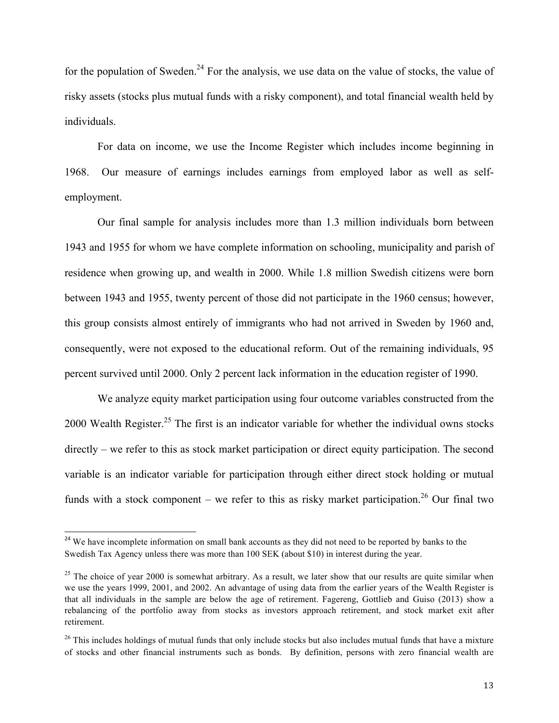for the population of Sweden.<sup>24</sup> For the analysis, we use data on the value of stocks, the value of risky assets (stocks plus mutual funds with a risky component), and total financial wealth held by individuals.

For data on income, we use the Income Register which includes income beginning in 1968. Our measure of earnings includes earnings from employed labor as well as selfemployment.

Our final sample for analysis includes more than 1.3 million individuals born between 1943 and 1955 for whom we have complete information on schooling, municipality and parish of residence when growing up, and wealth in 2000. While 1.8 million Swedish citizens were born between 1943 and 1955, twenty percent of those did not participate in the 1960 census; however, this group consists almost entirely of immigrants who had not arrived in Sweden by 1960 and, consequently, were not exposed to the educational reform. Out of the remaining individuals, 95 percent survived until 2000. Only 2 percent lack information in the education register of 1990.

We analyze equity market participation using four outcome variables constructed from the 2000 Wealth Register.<sup>25</sup> The first is an indicator variable for whether the individual owns stocks directly – we refer to this as stock market participation or direct equity participation. The second variable is an indicator variable for participation through either direct stock holding or mutual funds with a stock component – we refer to this as risky market participation.<sup>26</sup> Our final two

<sup>&</sup>lt;sup>24</sup> We have incomplete information on small bank accounts as they did not need to be reported by banks to the Swedish Tax Agency unless there was more than 100 SEK (about \$10) in interest during the year.

 $25$  The choice of year 2000 is somewhat arbitrary. As a result, we later show that our results are quite similar when we use the years 1999, 2001, and 2002. An advantage of using data from the earlier years of the Wealth Register is that all individuals in the sample are below the age of retirement. Fagereng, Gottlieb and Guiso (2013) show a rebalancing of the portfolio away from stocks as investors approach retirement, and stock market exit after retirement.

 $26$  This includes holdings of mutual funds that only include stocks but also includes mutual funds that have a mixture of stocks and other financial instruments such as bonds. By definition, persons with zero financial wealth are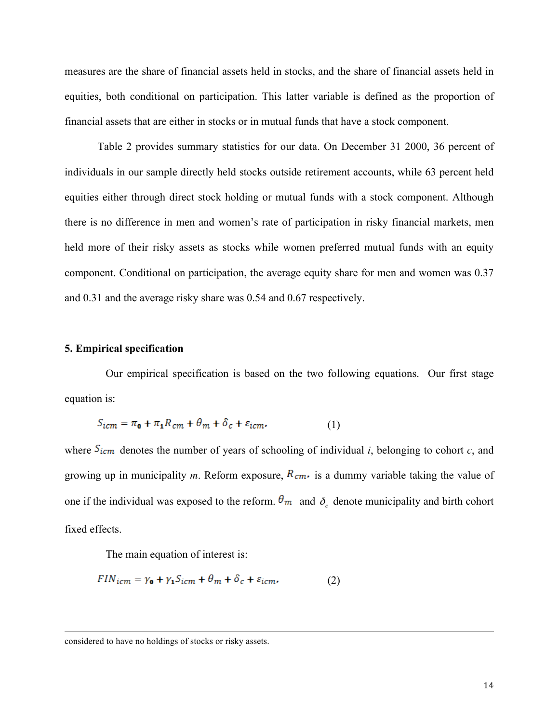measures are the share of financial assets held in stocks, and the share of financial assets held in equities, both conditional on participation. This latter variable is defined as the proportion of financial assets that are either in stocks or in mutual funds that have a stock component.

Table 2 provides summary statistics for our data. On December 31 2000, 36 percent of individuals in our sample directly held stocks outside retirement accounts, while 63 percent held equities either through direct stock holding or mutual funds with a stock component. Although there is no difference in men and women's rate of participation in risky financial markets, men held more of their risky assets as stocks while women preferred mutual funds with an equity component. Conditional on participation, the average equity share for men and women was 0.37 and 0.31 and the average risky share was 0.54 and 0.67 respectively.

#### **5. Empirical specification**

Our empirical specification is based on the two following equations. Our first stage equation is:

$$
S_{icm} = \pi_{\mathbf{0}} + \pi_{\mathbf{1}} R_{cm} + \theta_m + \delta_c + \varepsilon_{icm}.
$$
 (1)

where  $S_{icm}$  denotes the number of years of schooling of individual *i*, belonging to cohort *c*, and growing up in municipality *m*. Reform exposure,  $R_{cm}$ , is a dummy variable taking the value of one if the individual was exposed to the reform.  $\theta_m$  and  $\delta_c$  denote municipality and birth cohort fixed effects.

<u> 1989 - Jan Samuel Barbara, menyebaran sebagai pengaran pengaran pengaran pengaran pengaran pengaran pengaran</u>

The main equation of interest is:

$$
FIN_{icm} = \gamma_0 + \gamma_1 S_{icm} + \theta_m + \delta_c + \varepsilon_{icm}.
$$
 (2)

considered to have no holdings of stocks or risky assets.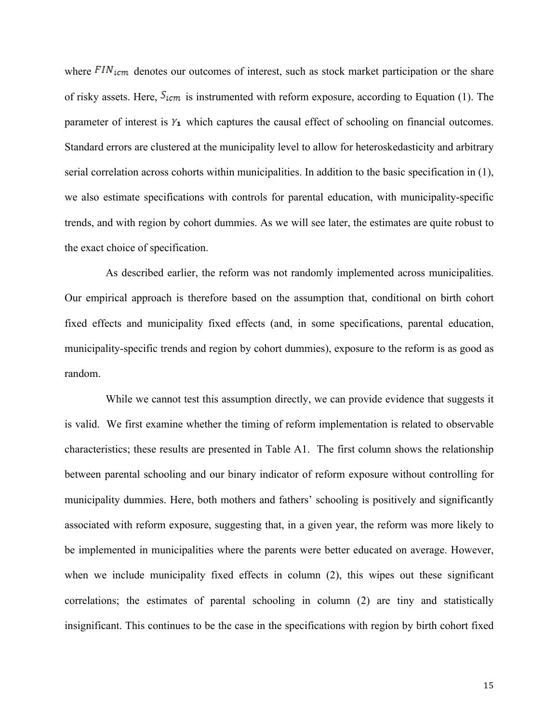where  $FIN_{icm}$  denotes our outcomes of interest, such as stock market participation or the share of risky assets. Here,  $S_{icm}$  is instrumented with reform exposure, according to Equation (1). The parameter of interest is  $Y_1$  which captures the causal effect of schooling on financial outcomes. Standard errors are clustered at the municipality level to allow for heteroskedasticity and arbitrary serial correlation across cohorts within municipalities. In addition to the basic specification in (1), we also estimate specifications with controls for parental education, with municipality-specific trends, and with region by cohort dummies. As we will see later, the estimates are quite robust to the exact choice of specification.

As described earlier, the reform was not randomly implemented across municipalities. Our empirical approach is therefore based on the assumption that, conditional on birth cohort fixed effects and municipality fixed effects (and, in some specifications, parental education, municipality-specific trends and region by cohort dummies), exposure to the reform is as good as random.

While we cannot test this assumption directly, we can provide evidence that suggests it is valid. We first examine whether the timing of reform implementation is related to observable characteristics; these results are presented in Table A1. The first column shows the relationship between parental schooling and our binary indicator of reform exposure without controlling for municipality dummies. Here, both mothers and fathers' schooling is positively and significantly associated with reform exposure, suggesting that, in a given year, the reform was more likely to be implemented in municipalities where the parents were better educated on average. However, when we include municipality fixed effects in column (2), this wipes out these significant correlations; the estimates of parental schooling in column (2) are tiny and statistically insignificant. This continues to be the case in the specifications with region by birth cohort fixed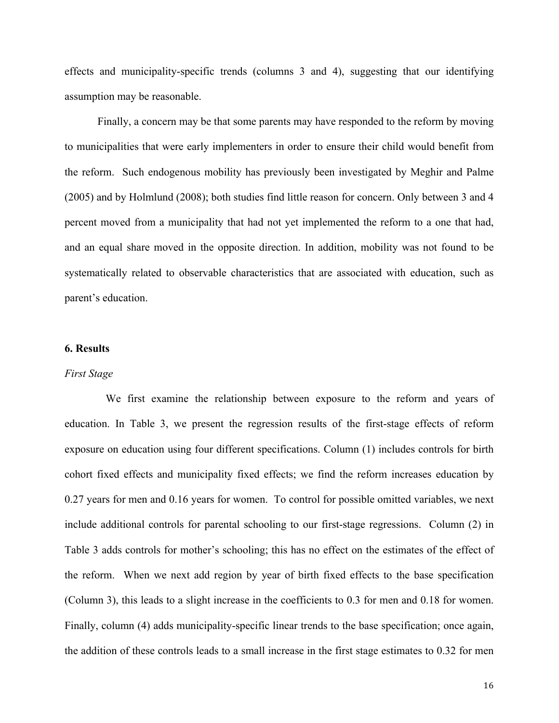effects and municipality-specific trends (columns 3 and 4), suggesting that our identifying assumption may be reasonable.

Finally, a concern may be that some parents may have responded to the reform by moving to municipalities that were early implementers in order to ensure their child would benefit from the reform. Such endogenous mobility has previously been investigated by Meghir and Palme (2005) and by Holmlund (2008); both studies find little reason for concern. Only between 3 and 4 percent moved from a municipality that had not yet implemented the reform to a one that had, and an equal share moved in the opposite direction. In addition, mobility was not found to be systematically related to observable characteristics that are associated with education, such as parent's education.

#### **6. Results**

#### *First Stage*

We first examine the relationship between exposure to the reform and years of education. In Table 3, we present the regression results of the first-stage effects of reform exposure on education using four different specifications. Column (1) includes controls for birth cohort fixed effects and municipality fixed effects; we find the reform increases education by 0.27 years for men and 0.16 years for women. To control for possible omitted variables, we next include additional controls for parental schooling to our first-stage regressions. Column (2) in Table 3 adds controls for mother's schooling; this has no effect on the estimates of the effect of the reform. When we next add region by year of birth fixed effects to the base specification (Column 3), this leads to a slight increase in the coefficients to 0.3 for men and 0.18 for women. Finally, column (4) adds municipality-specific linear trends to the base specification; once again, the addition of these controls leads to a small increase in the first stage estimates to 0.32 for men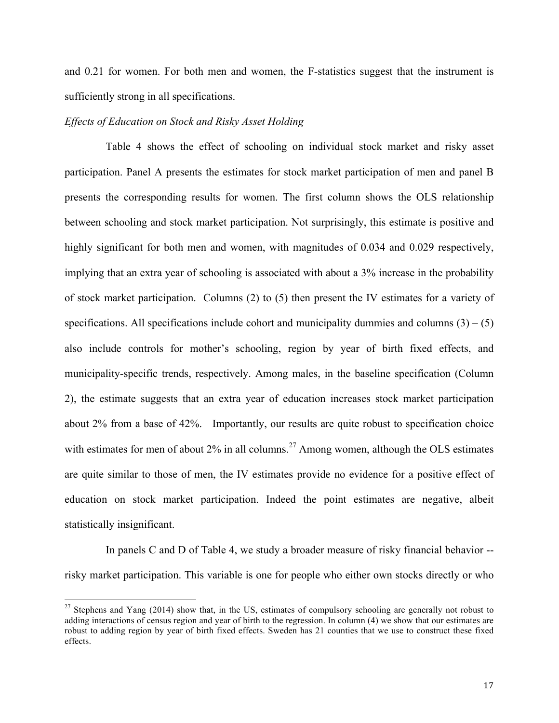and 0.21 for women. For both men and women, the F-statistics suggest that the instrument is sufficiently strong in all specifications.

#### *Effects of Education on Stock and Risky Asset Holding*

Table 4 shows the effect of schooling on individual stock market and risky asset participation. Panel A presents the estimates for stock market participation of men and panel B presents the corresponding results for women. The first column shows the OLS relationship between schooling and stock market participation. Not surprisingly, this estimate is positive and highly significant for both men and women, with magnitudes of 0.034 and 0.029 respectively, implying that an extra year of schooling is associated with about a 3% increase in the probability of stock market participation. Columns (2) to (5) then present the IV estimates for a variety of specifications. All specifications include cohort and municipality dummies and columns  $(3) - (5)$ also include controls for mother's schooling, region by year of birth fixed effects, and municipality-specific trends, respectively. Among males, in the baseline specification (Column 2), the estimate suggests that an extra year of education increases stock market participation about 2% from a base of 42%. Importantly, our results are quite robust to specification choice with estimates for men of about  $2\%$  in all columns.<sup>27</sup> Among women, although the OLS estimates are quite similar to those of men, the IV estimates provide no evidence for a positive effect of education on stock market participation. Indeed the point estimates are negative, albeit statistically insignificant.

In panels C and D of Table 4, we study a broader measure of risky financial behavior - risky market participation. This variable is one for people who either own stocks directly or who

<sup>&</sup>lt;sup>27</sup> Stephens and Yang (2014) show that, in the US, estimates of compulsory schooling are generally not robust to adding interactions of census region and year of birth to the regression. In column (4) we show that our estimates are robust to adding region by year of birth fixed effects. Sweden has 21 counties that we use to construct these fixed effects.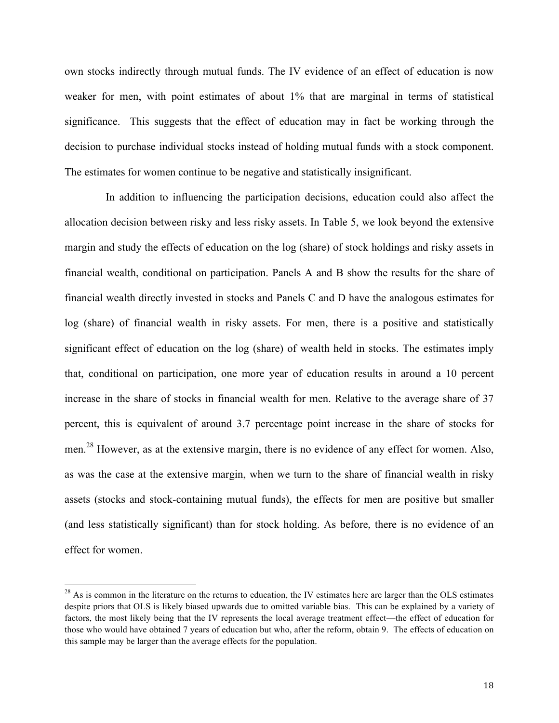own stocks indirectly through mutual funds. The IV evidence of an effect of education is now weaker for men, with point estimates of about 1% that are marginal in terms of statistical significance. This suggests that the effect of education may in fact be working through the decision to purchase individual stocks instead of holding mutual funds with a stock component. The estimates for women continue to be negative and statistically insignificant.

In addition to influencing the participation decisions, education could also affect the allocation decision between risky and less risky assets. In Table 5, we look beyond the extensive margin and study the effects of education on the log (share) of stock holdings and risky assets in financial wealth, conditional on participation. Panels A and B show the results for the share of financial wealth directly invested in stocks and Panels C and D have the analogous estimates for log (share) of financial wealth in risky assets. For men, there is a positive and statistically significant effect of education on the log (share) of wealth held in stocks. The estimates imply that, conditional on participation, one more year of education results in around a 10 percent increase in the share of stocks in financial wealth for men. Relative to the average share of 37 percent, this is equivalent of around 3.7 percentage point increase in the share of stocks for men.<sup>28</sup> However, as at the extensive margin, there is no evidence of any effect for women. Also, as was the case at the extensive margin, when we turn to the share of financial wealth in risky assets (stocks and stock-containing mutual funds), the effects for men are positive but smaller (and less statistically significant) than for stock holding. As before, there is no evidence of an effect for women.

 $28$  As is common in the literature on the returns to education, the IV estimates here are larger than the OLS estimates despite priors that OLS is likely biased upwards due to omitted variable bias. This can be explained by a variety of factors, the most likely being that the IV represents the local average treatment effect—the effect of education for those who would have obtained 7 years of education but who, after the reform, obtain 9. The effects of education on this sample may be larger than the average effects for the population.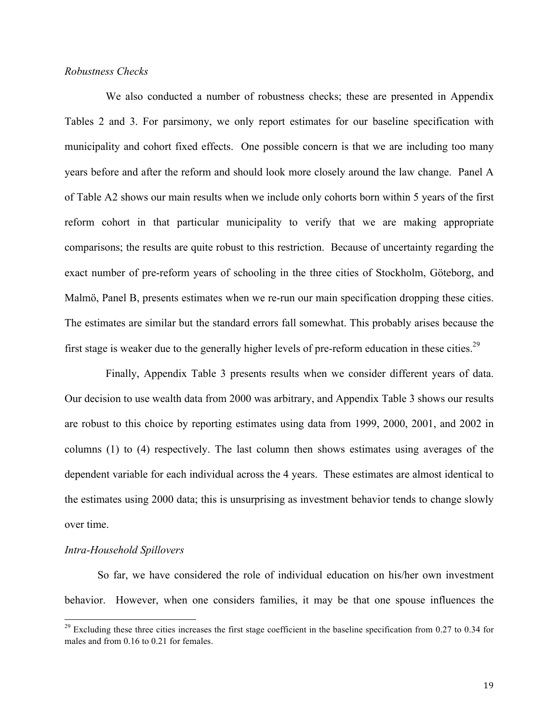### *Robustness Checks*

We also conducted a number of robustness checks; these are presented in Appendix Tables 2 and 3. For parsimony, we only report estimates for our baseline specification with municipality and cohort fixed effects.One possible concern is that we are including too many years before and after the reform and should look more closely around the law change. Panel A of Table A2 shows our main results when we include only cohorts born within 5 years of the first reform cohort in that particular municipality to verify that we are making appropriate comparisons; the results are quite robust to this restriction. Because of uncertainty regarding the exact number of pre-reform years of schooling in the three cities of Stockholm, Göteborg, and Malmö, Panel B, presents estimates when we re-run our main specification dropping these cities. The estimates are similar but the standard errors fall somewhat. This probably arises because the first stage is weaker due to the generally higher levels of pre-reform education in these cities.<sup>29</sup>

Finally, Appendix Table 3 presents results when we consider different years of data. Our decision to use wealth data from 2000 was arbitrary, and Appendix Table 3 shows our results are robust to this choice by reporting estimates using data from 1999, 2000, 2001, and 2002 in columns (1) to (4) respectively. The last column then shows estimates using averages of the dependent variable for each individual across the 4 years. These estimates are almost identical to the estimates using 2000 data; this is unsurprising as investment behavior tends to change slowly over time.

#### *Intra-Household Spillovers*

So far, we have considered the role of individual education on his/her own investment behavior. However, when one considers families, it may be that one spouse influences the

 $^{29}$  Excluding these three cities increases the first stage coefficient in the baseline specification from 0.27 to 0.34 for males and from 0.16 to 0.21 for females.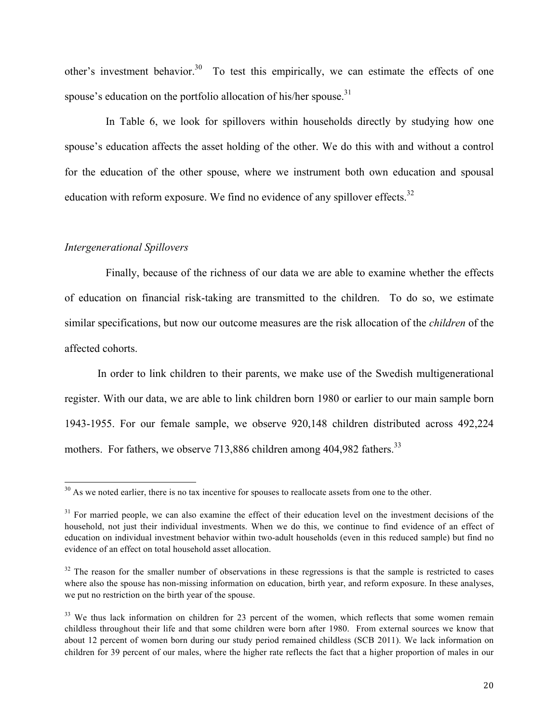other's investment behavior.<sup>30</sup> To test this empirically, we can estimate the effects of one spouse's education on the portfolio allocation of his/her spouse. $31$ 

In Table 6, we look for spillovers within households directly by studying how one spouse's education affects the asset holding of the other. We do this with and without a control for the education of the other spouse, where we instrument both own education and spousal education with reform exposure. We find no evidence of any spillover effects.<sup>32</sup>

#### *Intergenerational Spillovers*

Finally, because of the richness of our data we are able to examine whether the effects of education on financial risk-taking are transmitted to the children. To do so, we estimate similar specifications, but now our outcome measures are the risk allocation of the *children* of the affected cohorts.

In order to link children to their parents, we make use of the Swedish multigenerational register. With our data, we are able to link children born 1980 or earlier to our main sample born 1943-1955. For our female sample, we observe 920,148 children distributed across 492,224 mothers. For fathers, we observe 713,886 children among 404,982 fathers.<sup>33</sup>

 $30$  As we noted earlier, there is no tax incentive for spouses to reallocate assets from one to the other.

 $31$  For married people, we can also examine the effect of their education level on the investment decisions of the household, not just their individual investments. When we do this, we continue to find evidence of an effect of education on individual investment behavior within two-adult households (even in this reduced sample) but find no evidence of an effect on total household asset allocation.

 $32$  The reason for the smaller number of observations in these regressions is that the sample is restricted to cases where also the spouse has non-missing information on education, birth year, and reform exposure. In these analyses, we put no restriction on the birth year of the spouse.

<sup>&</sup>lt;sup>33</sup> We thus lack information on children for 23 percent of the women, which reflects that some women remain childless throughout their life and that some children were born after 1980. From external sources we know that about 12 percent of women born during our study period remained childless (SCB 2011). We lack information on children for 39 percent of our males, where the higher rate reflects the fact that a higher proportion of males in our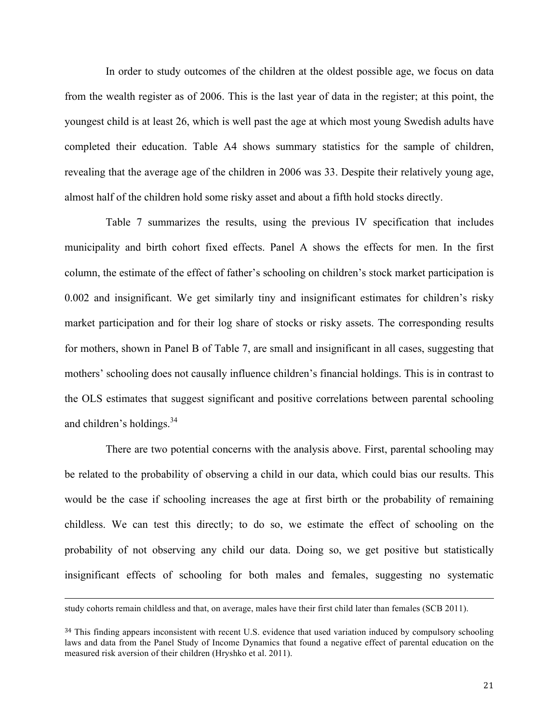In order to study outcomes of the children at the oldest possible age, we focus on data from the wealth register as of 2006. This is the last year of data in the register; at this point, the youngest child is at least 26, which is well past the age at which most young Swedish adults have completed their education. Table A4 shows summary statistics for the sample of children, revealing that the average age of the children in 2006 was 33. Despite their relatively young age, almost half of the children hold some risky asset and about a fifth hold stocks directly.

Table 7 summarizes the results, using the previous IV specification that includes municipality and birth cohort fixed effects. Panel A shows the effects for men. In the first column, the estimate of the effect of father's schooling on children's stock market participation is 0.002 and insignificant. We get similarly tiny and insignificant estimates for children's risky market participation and for their log share of stocks or risky assets. The corresponding results for mothers, shown in Panel B of Table 7, are small and insignificant in all cases, suggesting that mothers' schooling does not causally influence children's financial holdings. This is in contrast to the OLS estimates that suggest significant and positive correlations between parental schooling and children's holdings.<sup>34</sup>

There are two potential concerns with the analysis above. First, parental schooling may be related to the probability of observing a child in our data, which could bias our results. This would be the case if schooling increases the age at first birth or the probability of remaining childless. We can test this directly; to do so, we estimate the effect of schooling on the probability of not observing any child our data. Doing so, we get positive but statistically insignificant effects of schooling for both males and females, suggesting no systematic

<u> 1989 - Andrea Santa Andrea Andrea Andrea Andrea Andrea Andrea Andrea Andrea Andrea Andrea Andrea Andrea Andr</u>

study cohorts remain childless and that, on average, males have their first child later than females (SCB 2011).

<sup>&</sup>lt;sup>34</sup> This finding appears inconsistent with recent U.S. evidence that used variation induced by compulsory schooling laws and data from the Panel Study of Income Dynamics that found a negative effect of parental education on the measured risk aversion of their children (Hryshko et al. 2011).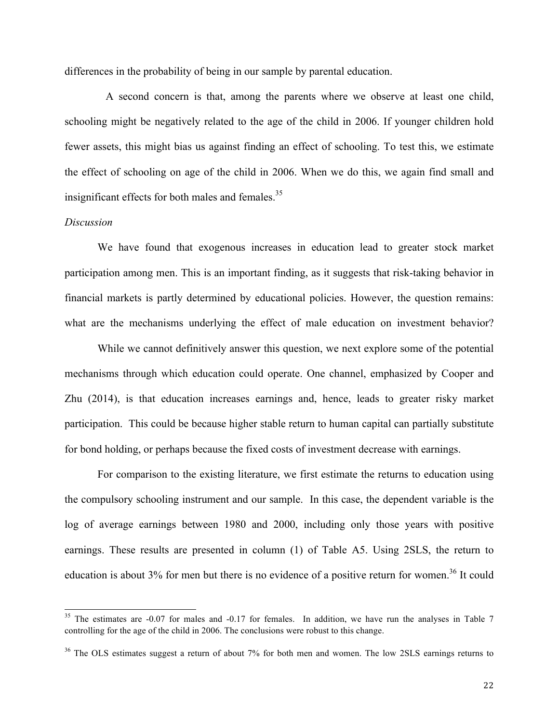differences in the probability of being in our sample by parental education.

A second concern is that, among the parents where we observe at least one child, schooling might be negatively related to the age of the child in 2006. If younger children hold fewer assets, this might bias us against finding an effect of schooling. To test this, we estimate the effect of schooling on age of the child in 2006. When we do this, we again find small and insignificant effects for both males and females.<sup>35</sup>

#### *Discussion*

We have found that exogenous increases in education lead to greater stock market participation among men. This is an important finding, as it suggests that risk-taking behavior in financial markets is partly determined by educational policies. However, the question remains: what are the mechanisms underlying the effect of male education on investment behavior?

While we cannot definitively answer this question, we next explore some of the potential mechanisms through which education could operate. One channel, emphasized by Cooper and Zhu (2014), is that education increases earnings and, hence, leads to greater risky market participation. This could be because higher stable return to human capital can partially substitute for bond holding, or perhaps because the fixed costs of investment decrease with earnings.

For comparison to the existing literature, we first estimate the returns to education using the compulsory schooling instrument and our sample. In this case, the dependent variable is the log of average earnings between 1980 and 2000, including only those years with positive earnings. These results are presented in column (1) of Table A5. Using 2SLS, the return to education is about 3% for men but there is no evidence of a positive return for women.<sup>36</sup> It could

 $35$  The estimates are -0.07 for males and -0.17 for females. In addition, we have run the analyses in Table 7 controlling for the age of the child in 2006. The conclusions were robust to this change.

<sup>&</sup>lt;sup>36</sup> The OLS estimates suggest a return of about 7% for both men and women. The low 2SLS earnings returns to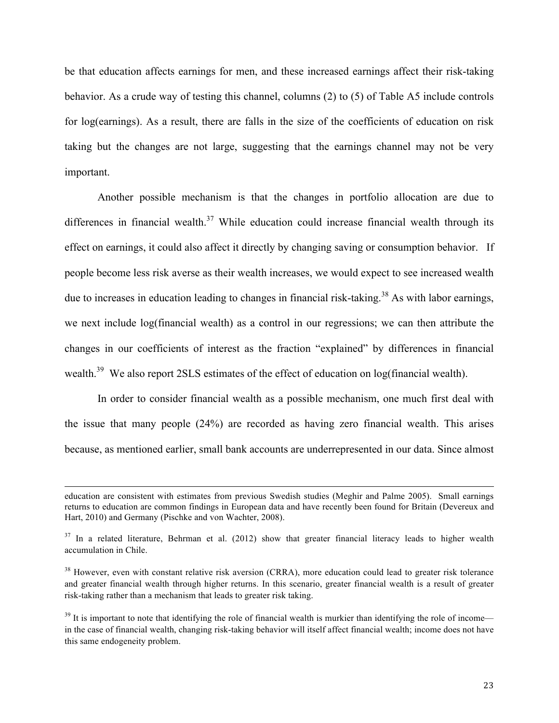be that education affects earnings for men, and these increased earnings affect their risk-taking behavior. As a crude way of testing this channel, columns (2) to (5) of Table A5 include controls for log(earnings). As a result, there are falls in the size of the coefficients of education on risk taking but the changes are not large, suggesting that the earnings channel may not be very important.

Another possible mechanism is that the changes in portfolio allocation are due to differences in financial wealth.<sup>37</sup> While education could increase financial wealth through its effect on earnings, it could also affect it directly by changing saving or consumption behavior. If people become less risk averse as their wealth increases, we would expect to see increased wealth due to increases in education leading to changes in financial risk-taking.<sup>38</sup> As with labor earnings, we next include log(financial wealth) as a control in our regressions; we can then attribute the changes in our coefficients of interest as the fraction "explained" by differences in financial wealth.<sup>39</sup> We also report 2SLS estimates of the effect of education on log(financial wealth).

In order to consider financial wealth as a possible mechanism, one much first deal with the issue that many people (24%) are recorded as having zero financial wealth. This arises because, as mentioned earlier, small bank accounts are underrepresented in our data. Since almost

<u> 1989 - Andrea Santa Andrea Andrea Andrea Andrea Andrea Andrea Andrea Andrea Andrea Andrea Andrea Andrea Andr</u>

education are consistent with estimates from previous Swedish studies (Meghir and Palme 2005). Small earnings returns to education are common findings in European data and have recently been found for Britain (Devereux and Hart, 2010) and Germany (Pischke and von Wachter, 2008).

 $37$  In a related literature, Behrman et al. (2012) show that greater financial literacy leads to higher wealth accumulation in Chile.

 $38$  However, even with constant relative risk aversion (CRRA), more education could lead to greater risk tolerance and greater financial wealth through higher returns. In this scenario, greater financial wealth is a result of greater risk-taking rather than a mechanism that leads to greater risk taking.

 $39$  It is important to note that identifying the role of financial wealth is murkier than identifying the role of income in the case of financial wealth, changing risk-taking behavior will itself affect financial wealth; income does not have this same endogeneity problem.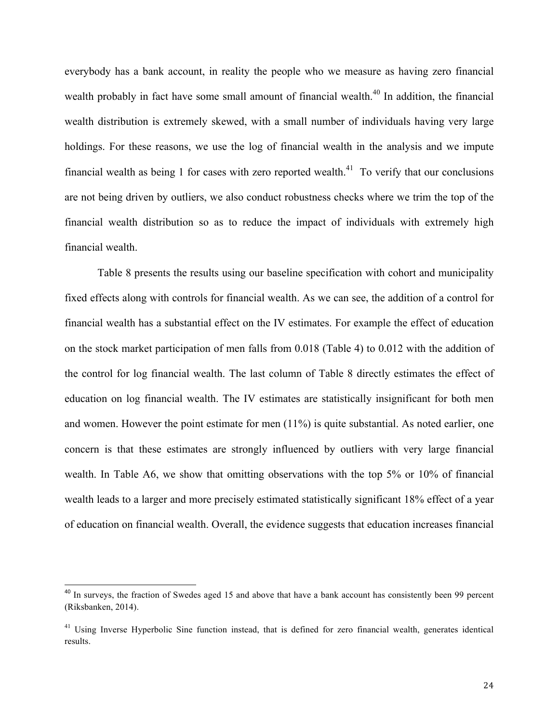everybody has a bank account, in reality the people who we measure as having zero financial wealth probably in fact have some small amount of financial wealth.<sup>40</sup> In addition, the financial wealth distribution is extremely skewed, with a small number of individuals having very large holdings. For these reasons, we use the log of financial wealth in the analysis and we impute financial wealth as being 1 for cases with zero reported wealth.<sup>41</sup> To verify that our conclusions are not being driven by outliers, we also conduct robustness checks where we trim the top of the financial wealth distribution so as to reduce the impact of individuals with extremely high financial wealth.

Table 8 presents the results using our baseline specification with cohort and municipality fixed effects along with controls for financial wealth. As we can see, the addition of a control for financial wealth has a substantial effect on the IV estimates. For example the effect of education on the stock market participation of men falls from 0.018 (Table 4) to 0.012 with the addition of the control for log financial wealth. The last column of Table 8 directly estimates the effect of education on log financial wealth. The IV estimates are statistically insignificant for both men and women. However the point estimate for men (11%) is quite substantial. As noted earlier, one concern is that these estimates are strongly influenced by outliers with very large financial wealth. In Table A6, we show that omitting observations with the top 5% or 10% of financial wealth leads to a larger and more precisely estimated statistically significant 18% effect of a year of education on financial wealth. Overall, the evidence suggests that education increases financial

<sup>&</sup>lt;sup>40</sup> In surveys, the fraction of Swedes aged 15 and above that have a bank account has consistently been 99 percent (Riksbanken, 2014).

<sup>&</sup>lt;sup>41</sup> Using Inverse Hyperbolic Sine function instead, that is defined for zero financial wealth, generates identical results.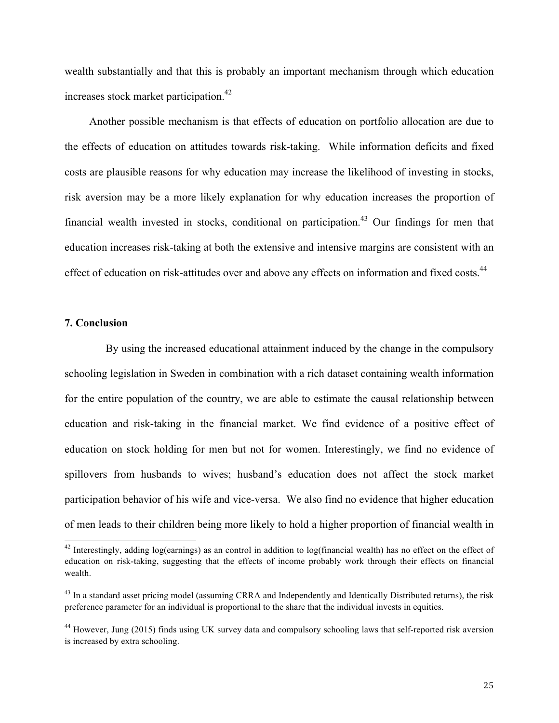wealth substantially and that this is probably an important mechanism through which education increases stock market participation.<sup>42</sup>

Another possible mechanism is that effects of education on portfolio allocation are due to the effects of education on attitudes towards risk-taking. While information deficits and fixed costs are plausible reasons for why education may increase the likelihood of investing in stocks, risk aversion may be a more likely explanation for why education increases the proportion of financial wealth invested in stocks, conditional on participation.<sup>43</sup> Our findings for men that education increases risk-taking at both the extensive and intensive margins are consistent with an effect of education on risk-attitudes over and above any effects on information and fixed costs.<sup>44</sup>

#### **7. Conclusion**

By using the increased educational attainment induced by the change in the compulsory schooling legislation in Sweden in combination with a rich dataset containing wealth information for the entire population of the country, we are able to estimate the causal relationship between education and risk-taking in the financial market. We find evidence of a positive effect of education on stock holding for men but not for women. Interestingly, we find no evidence of spillovers from husbands to wives; husband's education does not affect the stock market participation behavior of his wife and vice-versa. We also find no evidence that higher education of men leads to their children being more likely to hold a higher proportion of financial wealth in

<sup>&</sup>lt;sup>42</sup> Interestingly, adding log(earnings) as an control in addition to log(financial wealth) has no effect on the effect of education on risk-taking, suggesting that the effects of income probably work through their effects on financial wealth.

 $^{43}$  In a standard asset pricing model (assuming CRRA and Independently and Identically Distributed returns), the risk preference parameter for an individual is proportional to the share that the individual invests in equities.

<sup>&</sup>lt;sup>44</sup> However, Jung (2015) finds using UK survey data and compulsory schooling laws that self-reported risk aversion is increased by extra schooling.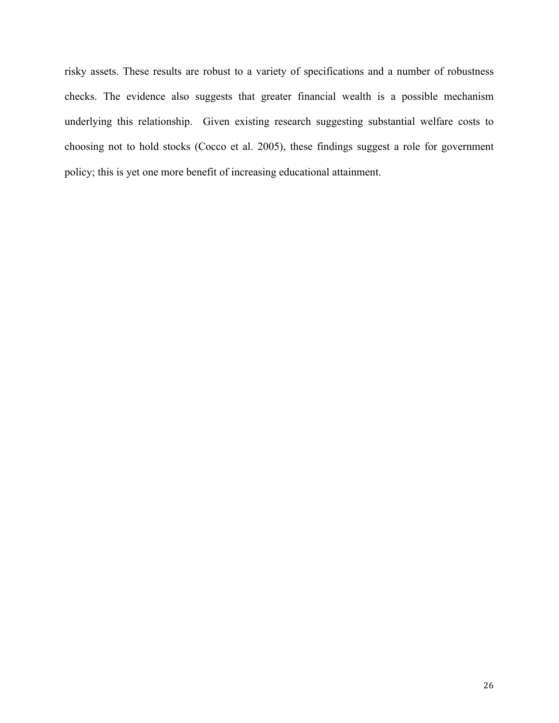risky assets. These results are robust to a variety of specifications and a number of robustness checks. The evidence also suggests that greater financial wealth is a possible mechanism underlying this relationship. Given existing research suggesting substantial welfare costs to choosing not to hold stocks (Cocco et al. 2005), these findings suggest a role for government policy; this is yet one more benefit of increasing educational attainment.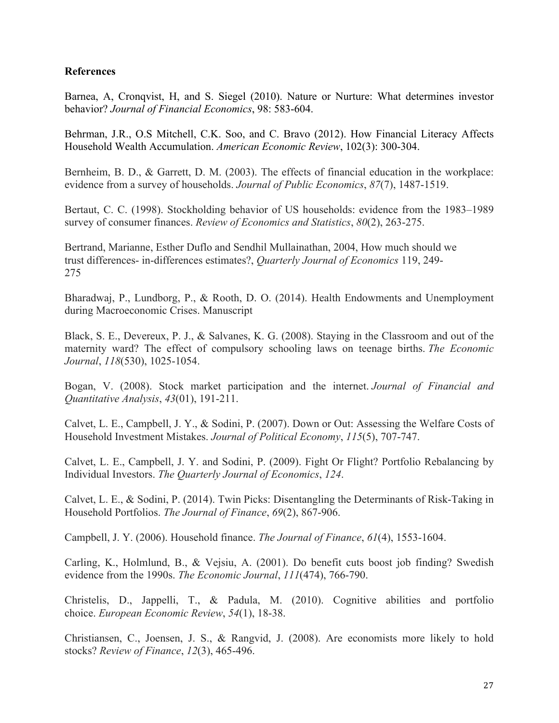### **References**

Barnea, A, Cronqvist, H, and S. Siegel (2010). Nature or Nurture: What determines investor behavior? *Journal of Financial Economics*, 98: 583-604.

Behrman, J.R., O.S Mitchell, C.K. Soo, and C. Bravo (2012). How Financial Literacy Affects Household Wealth Accumulation. *American Economic Review*, 102(3): 300-304.

Bernheim, B. D., & Garrett, D. M. (2003). The effects of financial education in the workplace: evidence from a survey of households. *Journal of Public Economics*, *87*(7), 1487-1519.

Bertaut, C. C. (1998). Stockholding behavior of US households: evidence from the 1983–1989 survey of consumer finances. *Review of Economics and Statistics*, *80*(2), 263-275.

Bertrand, Marianne, Esther Duflo and Sendhil Mullainathan, 2004, How much should we trust differences- in-differences estimates?, *Quarterly Journal of Economics* 119, 249- 275

Bharadwaj, P., Lundborg, P., & Rooth, D. O. (2014). Health Endowments and Unemployment during Macroeconomic Crises. Manuscript

Black, S. E., Devereux, P. J., & Salvanes, K. G. (2008). Staying in the Classroom and out of the maternity ward? The effect of compulsory schooling laws on teenage births. *The Economic Journal*, *118*(530), 1025-1054.

Bogan, V. (2008). Stock market participation and the internet. *Journal of Financial and Quantitative Analysis*, *43*(01), 191-211.

Calvet, L. E., Campbell, J. Y., & Sodini, P. (2007). Down or Out: Assessing the Welfare Costs of Household Investment Mistakes. *Journal of Political Economy*, *115*(5), 707-747.

Calvet, L. E., Campbell, J. Y. and Sodini, P. (2009). Fight Or Flight? Portfolio Rebalancing by Individual Investors. *The Quarterly Journal of Economics*, *124*.

Calvet, L. E., & Sodini, P. (2014). Twin Picks: Disentangling the Determinants of Risk-Taking in Household Portfolios. *The Journal of Finance*, *69*(2), 867-906.

Campbell, J. Y. (2006). Household finance. *The Journal of Finance*, *61*(4), 1553-1604.

Carling, K., Holmlund, B., & Vejsiu, A. (2001). Do benefit cuts boost job finding? Swedish evidence from the 1990s. *The Economic Journal*, *111*(474), 766-790.

Christelis, D., Jappelli, T., & Padula, M. (2010). Cognitive abilities and portfolio choice. *European Economic Review*, *54*(1), 18-38.

Christiansen, C., Joensen, J. S., & Rangvid, J. (2008). Are economists more likely to hold stocks? *Review of Finance*, *12*(3), 465-496.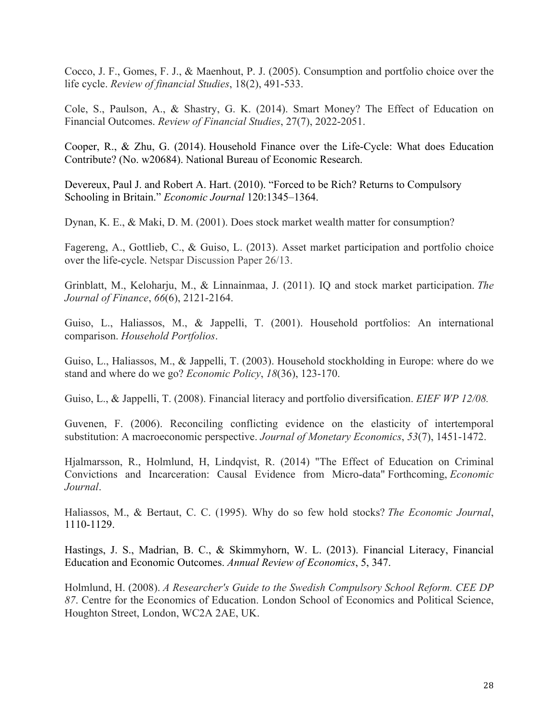Cocco, J. F., Gomes, F. J., & Maenhout, P. J. (2005). Consumption and portfolio choice over the life cycle. *Review of financial Studies*, 18(2), 491-533.

Cole, S., Paulson, A., & Shastry, G. K. (2014). Smart Money? The Effect of Education on Financial Outcomes. *Review of Financial Studies*, 27(7), 2022-2051.

Cooper, R., & Zhu, G. (2014). Household Finance over the Life-Cycle: What does Education Contribute? (No. w20684). National Bureau of Economic Research.

Devereux, Paul J. and Robert A. Hart. (2010). "Forced to be Rich? Returns to Compulsory Schooling in Britain." *Economic Journal* 120:1345–1364.

Dynan, K. E., & Maki, D. M. (2001). Does stock market wealth matter for consumption?

Fagereng, A., Gottlieb, C., & Guiso, L. (2013). Asset market participation and portfolio choice over the life-cycle. Netspar Discussion Paper 26/13.

Grinblatt, M., Keloharju, M., & Linnainmaa, J. (2011). IQ and stock market participation. *The Journal of Finance*, *66*(6), 2121-2164.

Guiso, L., Haliassos, M., & Jappelli, T. (2001). Household portfolios: An international comparison. *Household Portfolios*.

Guiso, L., Haliassos, M., & Jappelli, T. (2003). Household stockholding in Europe: where do we stand and where do we go? *Economic Policy*, *18*(36), 123-170.

Guiso, L., & Jappelli, T. (2008). Financial literacy and portfolio diversification. *EIEF WP 12/08.*

Guvenen, F. (2006). Reconciling conflicting evidence on the elasticity of intertemporal substitution: A macroeconomic perspective. *Journal of Monetary Economics*, *53*(7), 1451-1472.

Hjalmarsson, R., Holmlund, H, Lindqvist, R. (2014) "The Effect of Education on Criminal Convictions and Incarceration: Causal Evidence from Micro-data" Forthcoming, *Economic Journal*.

Haliassos, M., & Bertaut, C. C. (1995). Why do so few hold stocks? *The Economic Journal*, 1110-1129.

Hastings, J. S., Madrian, B. C., & Skimmyhorn, W. L. (2013). Financial Literacy, Financial Education and Economic Outcomes. *Annual Review of Economics*, 5, 347.

Holmlund, H. (2008). *A Researcher's Guide to the Swedish Compulsory School Reform. CEE DP 87*. Centre for the Economics of Education. London School of Economics and Political Science, Houghton Street, London, WC2A 2AE, UK.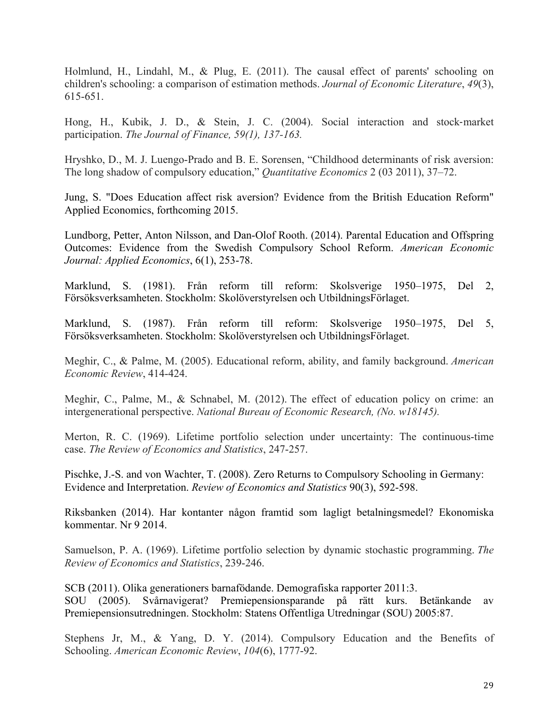Holmlund, H., Lindahl, M., & Plug, E. (2011). The causal effect of parents' schooling on children's schooling: a comparison of estimation methods. *Journal of Economic Literature*, *49*(3), 615-651.

Hong, H., Kubik, J. D., & Stein, J. C. (2004). Social interaction and stock-market participation. *The Journal of Finance, 59(1), 137-163.*

Hryshko, D., M. J. Luengo-Prado and B. E. Sorensen, "Childhood determinants of risk aversion: The long shadow of compulsory education," *Quantitative Economics* 2 (03 2011), 37–72.

Jung, S. "Does Education affect risk aversion? Evidence from the British Education Reform" Applied Economics, forthcoming 2015.

Lundborg, Petter, Anton Nilsson, and Dan-Olof Rooth. (2014). Parental Education and Offspring Outcomes: Evidence from the Swedish Compulsory School Reform. *American Economic Journal: Applied Economics*, 6(1), 253-78.

Marklund, S. (1981). Från reform till reform: Skolsverige 1950–1975, Del 2, Försöksverksamheten. Stockholm: Skolöverstyrelsen och UtbildningsFörlaget.

Marklund, S. (1987). Från reform till reform: Skolsverige 1950–1975, Del 5, Försöksverksamheten. Stockholm: Skolöverstyrelsen och UtbildningsFörlaget.

Meghir, C., & Palme, M. (2005). Educational reform, ability, and family background. *American Economic Review*, 414-424.

Meghir, C., Palme, M., & Schnabel, M. (2012). The effect of education policy on crime: an intergenerational perspective. *National Bureau of Economic Research, (No. w18145).*

Merton, R. C. (1969). Lifetime portfolio selection under uncertainty: The continuous-time case. *The Review of Economics and Statistics*, 247-257.

Pischke, J.-S. and von Wachter, T. (2008). Zero Returns to Compulsory Schooling in Germany: Evidence and Interpretation. *Review of Economics and Statistics* 90(3), 592-598.

Riksbanken (2014). Har kontanter någon framtid som lagligt betalningsmedel? Ekonomiska kommentar. Nr 9 2014.

Samuelson, P. A. (1969). Lifetime portfolio selection by dynamic stochastic programming. *The Review of Economics and Statistics*, 239-246.

SCB (2011). Olika generationers barnafödande. Demografiska rapporter 2011:3. SOU (2005). Svårnavigerat? Premiepensionsparande på rätt kurs. Betänkande av Premiepensionsutredningen. Stockholm: Statens Offentliga Utredningar (SOU) 2005:87.

Stephens Jr, M., & Yang, D. Y. (2014). Compulsory Education and the Benefits of Schooling. *American Economic Review*, *104*(6), 1777-92.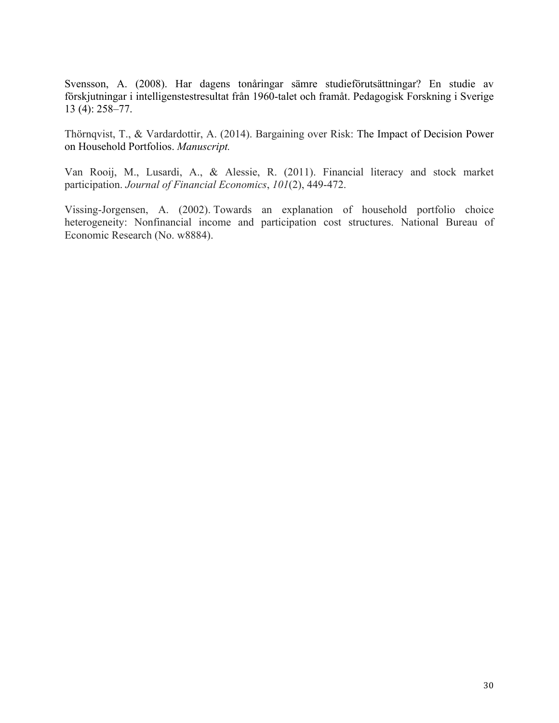Svensson, A. (2008). Har dagens tonåringar sämre studieförutsättningar? En studie av förskjutningar i intelligenstestresultat från 1960-talet och framåt. Pedagogisk Forskning i Sverige 13 (4): 258–77.

Thörnqvist, T., & Vardardottir, A. (2014). Bargaining over Risk: The Impact of Decision Power on Household Portfolios. *Manuscript.*

Van Rooij, M., Lusardi, A., & Alessie, R. (2011). Financial literacy and stock market participation. *Journal of Financial Economics*, *101*(2), 449-472.

Vissing-Jorgensen, A. (2002). Towards an explanation of household portfolio choice heterogeneity: Nonfinancial income and participation cost structures. National Bureau of Economic Research (No. w8884).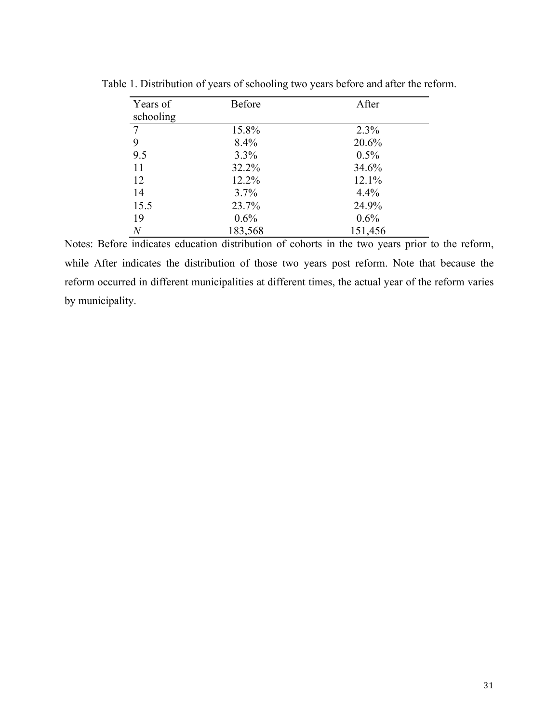| Years of       | <b>Before</b> | After   |
|----------------|---------------|---------|
| schooling      |               |         |
| $\overline{7}$ | 15.8%         | 2.3%    |
| 9              | 8.4%          | 20.6%   |
| 9.5            | 3.3%          | 0.5%    |
| 11             | 32.2%         | 34.6%   |
| 12             | 12.2%         | 12.1%   |
| 14             | 3.7%          | 4.4%    |
| 15.5           | 23.7%         | 24.9%   |
| 19             | 0.6%          | 0.6%    |
| $\,N$          | 183,568       | 151,456 |

Table 1. Distribution of years of schooling two years before and after the reform.

Notes: Before indicates education distribution of cohorts in the two years prior to the reform, while After indicates the distribution of those two years post reform. Note that because the reform occurred in different municipalities at different times, the actual year of the reform varies by municipality.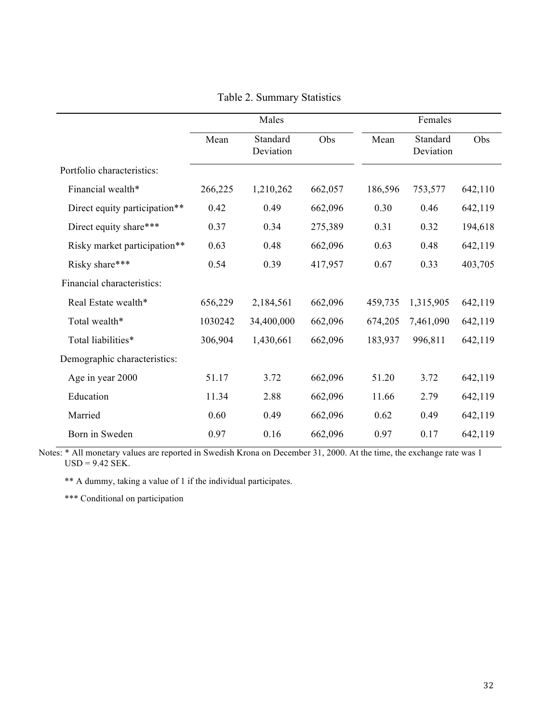|                               |         | Males                 |         | Females |                       |         |
|-------------------------------|---------|-----------------------|---------|---------|-----------------------|---------|
|                               | Mean    | Standard<br>Deviation | Obs     | Mean    | Standard<br>Deviation | Obs     |
| Portfolio characteristics:    |         |                       |         |         |                       |         |
| Financial wealth*             | 266,225 | 1,210,262             | 662,057 | 186,596 | 753,577               | 642,110 |
| Direct equity participation** | 0.42    | 0.49                  | 662,096 | 0.30    | 0.46                  | 642,119 |
| Direct equity share***        | 0.37    | 0.34                  | 275,389 | 0.31    | 0.32                  | 194,618 |
| Risky market participation**  | 0.63    | 0.48                  | 662,096 | 0.63    | 0.48                  | 642,119 |
| Risky share***                | 0.54    | 0.39                  | 417,957 | 0.67    | 0.33                  | 403,705 |
| Financial characteristics:    |         |                       |         |         |                       |         |
| Real Estate wealth*           | 656,229 | 2,184,561             | 662,096 | 459,735 | 1,315,905             | 642,119 |
| Total wealth*                 | 1030242 | 34,400,000            | 662,096 | 674,205 | 7,461,090             | 642,119 |
| Total liabilities*            | 306,904 | 1,430,661             | 662,096 | 183,937 | 996,811               | 642,119 |
| Demographic characteristics:  |         |                       |         |         |                       |         |
| Age in year 2000              | 51.17   | 3.72                  | 662,096 | 51.20   | 3.72                  | 642,119 |
| Education                     | 11.34   | 2.88                  | 662,096 | 11.66   | 2.79                  | 642,119 |
| Married                       | 0.60    | 0.49                  | 662,096 | 0.62    | 0.49                  | 642,119 |
| Born in Sweden                | 0.97    | 0.16                  | 662,096 | 0.97    | 0.17                  | 642,119 |

Table 2. Summary Statistics

Notes: \* All monetary values are reported in Swedish Krona on December 31, 2000. At the time, the exchange rate was 1  $USD = 9.42$  SEK.

\*\* A dummy, taking a value of 1 if the individual participates.

\*\*\* Conditional on participation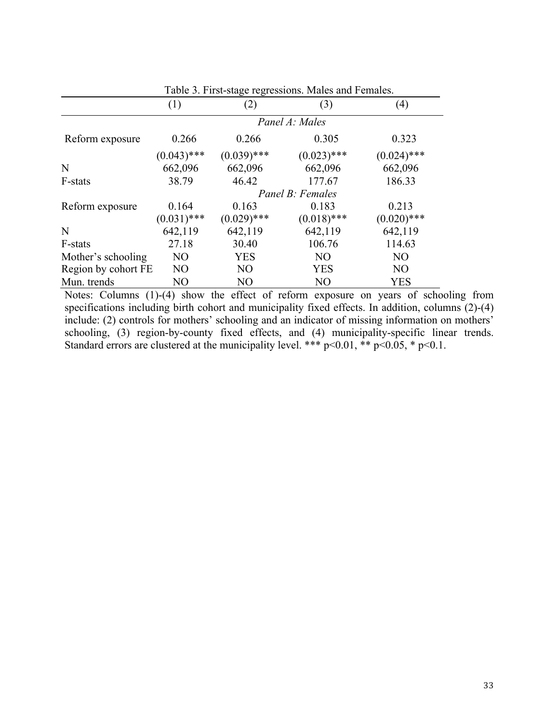|                     | (1)            | (2)            | (3)              | (4)            |
|---------------------|----------------|----------------|------------------|----------------|
|                     |                |                | Panel A: Males   |                |
| Reform exposure     | 0.266          | 0.266          | 0.305            | 0.323          |
|                     | $(0.043)$ ***  | $(0.039)$ ***  | $(0.023)$ ***    | $(0.024)$ ***  |
| N                   | 662,096        | 662,096        | 662,096          | 662,096        |
| F-stats             | 38.79          | 46.42          | 177.67           | 186.33         |
|                     |                |                | Panel B: Females |                |
| Reform exposure     | 0.164          | 0.163          | 0.183            | 0.213          |
|                     | $(0.031)$ ***  | $(0.029)$ ***  | $(0.018)$ ***    | $(0.020)$ ***  |
| N                   | 642,119        | 642,119        | 642,119          | 642,119        |
| F-stats             | 27.18          | 30.40          | 106.76           | 114.63         |
| Mother's schooling  | N <sub>O</sub> | <b>YES</b>     | N <sub>O</sub>   | N <sub>O</sub> |
| Region by cohort FE | N <sub>O</sub> | N <sub>O</sub> | <b>YES</b>       | N <sub>O</sub> |
| Mun. trends         | NO             | NO             | N <sub>O</sub>   | YES            |

Table 3. First-stage regressions. Males and Females.

Notes: Columns (1)-(4) show the effect of reform exposure on years of schooling from specifications including birth cohort and municipality fixed effects. In addition, columns (2)-(4) include: (2) controls for mothers' schooling and an indicator of missing information on mothers' schooling, (3) region-by-county fixed effects, and (4) municipality-specific linear trends. Standard errors are clustered at the municipality level. \*\*\*  $p<0.01$ , \*\*  $p<0.05$ , \*  $p<0.1$ .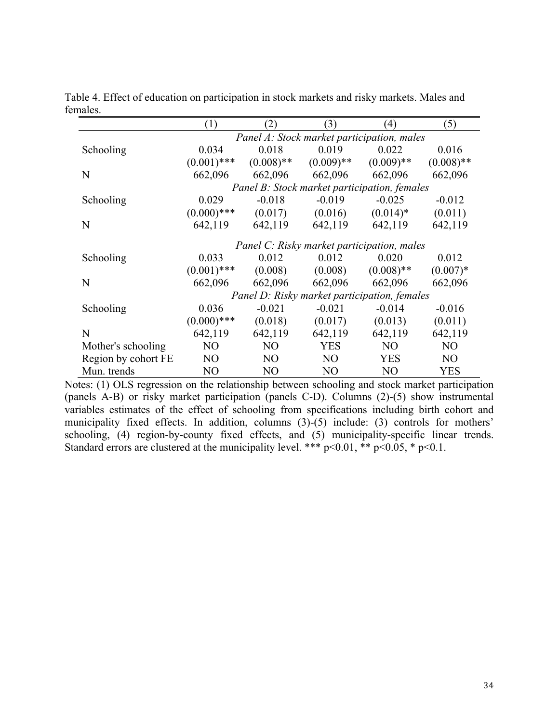|                     | (1)            | (2)            | (3)          | $\left(4\right)$                             | (5)             |
|---------------------|----------------|----------------|--------------|----------------------------------------------|-----------------|
|                     |                |                |              | Panel A: Stock market participation, males   |                 |
| Schooling           | 0.034          | 0.018          | 0.019        | 0.022                                        | 0.016           |
|                     | $(0.001)$ ***  | $(0.008)$ **   | $(0.009)$ ** | $(0.009)$ **                                 | $(0.008)$ **    |
| N                   | 662,096        | 662,096        | 662,096      | 662,096                                      | 662,096         |
|                     |                |                |              | Panel B: Stock market participation, females |                 |
| Schooling           | 0.029          | $-0.018$       | $-0.019$     | $-0.025$                                     | $-0.012$        |
|                     | $(0.000)$ ***  | (0.017)        | (0.016)      | $(0.014)*$                                   | (0.011)         |
| N                   | 642,119        | 642,119        | 642,119      | 642,119                                      | 642,119         |
|                     |                |                |              | Panel C: Risky market participation, males   |                 |
| Schooling           | 0.033          | 0.012          | 0.012        | 0.020                                        | 0.012           |
|                     | $(0.001)$ ***  | (0.008)        | (0.008)      | $(0.008)$ **                                 | $(0.007)*$      |
| N                   | 662,096        | 662,096        | 662,096      | 662,096                                      | 662,096         |
|                     |                |                |              | Panel D: Risky market participation, females |                 |
| Schooling           | 0.036          | $-0.021$       | $-0.021$     | $-0.014$                                     | $-0.016$        |
|                     | $(0.000)$ ***  | (0.018)        | (0.017)      | (0.013)                                      | (0.011)         |
| N                   | 642,119        | 642,119        | 642,119      | 642,119                                      | 642,119         |
| Mother's schooling  | N <sub>O</sub> | N <sub>O</sub> | <b>YES</b>   | N <sub>O</sub>                               | N <sub>O</sub>  |
| Region by cohort FE | N <sub>O</sub> | N <sub>O</sub> | NO.          | <b>YES</b>                                   | NO <sub>1</sub> |
| Mun. trends         | NO             | N <sub>O</sub> | NO           | N <sub>O</sub>                               | YES             |

Table 4. Effect of education on participation in stock markets and risky markets. Males and females.

Notes: (1) OLS regression on the relationship between schooling and stock market participation (panels A-B) or risky market participation (panels C-D). Columns (2)-(5) show instrumental variables estimates of the effect of schooling from specifications including birth cohort and municipality fixed effects. In addition, columns (3)-(5) include: (3) controls for mothers' schooling, (4) region-by-county fixed effects, and (5) municipality-specific linear trends. Standard errors are clustered at the municipality level. \*\*\*  $p<0.01$ , \*\*  $p<0.05$ , \*  $p<0.1$ .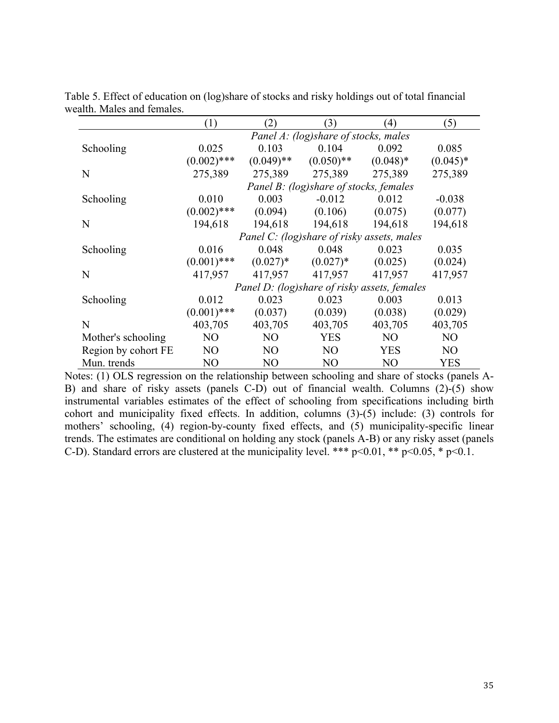|                     | (1)           | (2)            | (3)                                          | $\left(4\right)$ | (5)            |
|---------------------|---------------|----------------|----------------------------------------------|------------------|----------------|
|                     |               |                | Panel A: (log)share of stocks, males         |                  |                |
| Schooling           | 0.025         | 0.103          | 0.104                                        | 0.092            | 0.085          |
|                     | $(0.002)$ *** | $(0.049)$ **   | $(0.050)$ **                                 | $(0.048)*$       | $(0.045)*$     |
| N                   | 275,389       | 275,389        | 275,389                                      | 275,389          | 275,389        |
|                     |               |                | Panel B: (log)share of stocks, females       |                  |                |
| Schooling           | 0.010         | 0.003          | $-0.012$                                     | 0.012            | $-0.038$       |
|                     | $(0.002)$ *** | (0.094)        | (0.106)                                      | (0.075)          | (0.077)        |
| N                   | 194,618       | 194,618        | 194,618                                      | 194,618          | 194,618        |
|                     |               |                | Panel C: (log)share of risky assets, males   |                  |                |
| Schooling           | 0.016         | 0.048          | 0.048                                        | 0.023            | 0.035          |
|                     | $(0.001)$ *** | $(0.027)^*$    | $(0.027)^*$                                  | (0.025)          | (0.024)        |
| N                   | 417,957       | 417,957        | 417,957                                      | 417,957          | 417,957        |
|                     |               |                | Panel D: (log)share of risky assets, females |                  |                |
| Schooling           | 0.012         | 0.023          | 0.023                                        | 0.003            | 0.013          |
|                     | $(0.001)$ *** | (0.037)        | (0.039)                                      | (0.038)          | (0.029)        |
| N                   | 403,705       | 403,705        | 403,705                                      | 403,705          | 403,705        |
| Mother's schooling  | NO            | N <sub>O</sub> | <b>YES</b>                                   | N <sub>O</sub>   | N <sub>O</sub> |
| Region by cohort FE | NO            | NO             | NO                                           | <b>YES</b>       | NO             |
| Mun. trends         | NO            | N <sub>O</sub> | N <sub>O</sub>                               | N <sub>O</sub>   | <b>YES</b>     |

Table 5. Effect of education on (log)share of stocks and risky holdings out of total financial wealth. Males and females.

Notes: (1) OLS regression on the relationship between schooling and share of stocks (panels A-B) and share of risky assets (panels C-D) out of financial wealth. Columns (2)-(5) show instrumental variables estimates of the effect of schooling from specifications including birth cohort and municipality fixed effects. In addition, columns  $(3)-(5)$  include:  $(3)$  controls for mothers' schooling, (4) region-by-county fixed effects, and (5) municipality-specific linear trends. The estimates are conditional on holding any stock (panels A-B) or any risky asset (panels C-D). Standard errors are clustered at the municipality level. \*\*\*  $p<0.01$ , \*\*  $p<0.05$ , \*  $p<0.1$ .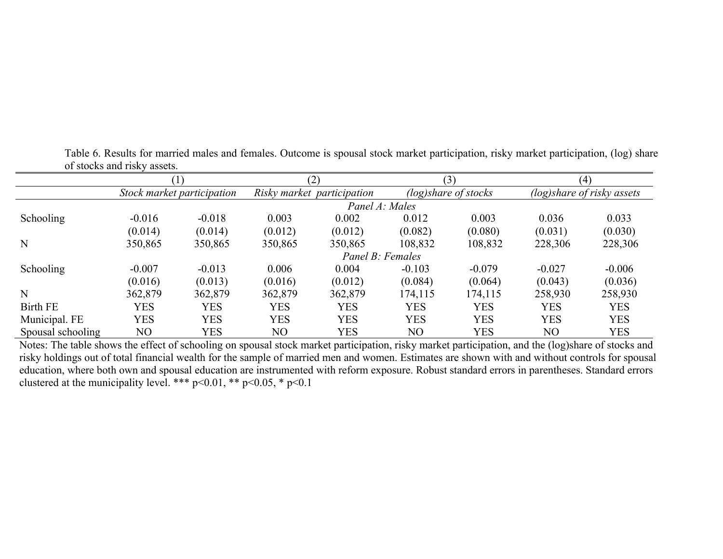|                   |            |                            | (2)        |                            | (3)        |                      | (4)        |                            |
|-------------------|------------|----------------------------|------------|----------------------------|------------|----------------------|------------|----------------------------|
|                   |            | Stock market participation |            | Risky market participation |            | (log)share of stocks |            | (log)share of risky assets |
|                   |            |                            |            | Panel A: Males             |            |                      |            |                            |
| <b>Schooling</b>  | $-0.016$   | $-0.018$                   | 0.003      | 0.002                      | 0.012      | 0.003                | 0.036      | 0.033                      |
|                   | (0.014)    | (0.014)                    | (0.012)    | (0.012)                    | (0.082)    | (0.080)              | (0.031)    | (0.030)                    |
| N                 | 350,865    | 350,865                    | 350,865    | 350,865                    | 108,832    | 108,832              | 228,306    | 228,306                    |
|                   |            |                            |            | Panel B: Females           |            |                      |            |                            |
| Schooling         | $-0.007$   | $-0.013$                   | 0.006      | 0.004                      | $-0.103$   | $-0.079$             | $-0.027$   | $-0.006$                   |
|                   | (0.016)    | (0.013)                    | (0.016)    | (0.012)                    | (0.084)    | (0.064)              | (0.043)    | (0.036)                    |
| $\mathbf N$       | 362,879    | 362,879                    | 362,879    | 362,879                    | 174,115    | 174,115              | 258,930    | 258,930                    |
| <b>Birth FE</b>   | <b>YES</b> | <b>YES</b>                 | <b>YES</b> | <b>YES</b>                 | <b>YES</b> | <b>YES</b>           | <b>YES</b> | <b>YES</b>                 |
| Municipal. FE     | YES        | <b>YES</b>                 | <b>YES</b> | <b>YES</b>                 | <b>YES</b> | <b>YES</b>           | <b>YES</b> | <b>YES</b>                 |
| Spousal schooling | NO         | YES                        | NO         | YES                        | NO         | YES                  | NO         | <b>YES</b>                 |

Table 6. Results for married males and females. Outcome is spousal stock market participation, risky market participation, (log) share of stocks and risky assets.

Notes: The table shows the effect of schooling on spousal stock market participation, risky market participation, and the (log)share of stocks and risky holdings out of total financial wealth for the sample of married men and women. Estimates are shown with and without controls for spousal education, where both own and spousal education are instrumented with reform exposure. Robust standard errors in parentheses. Standard errors clustered at the municipality level. \*\*\*  $p<0.01$ , \*\*  $p<0.05$ , \*  $p<0.1$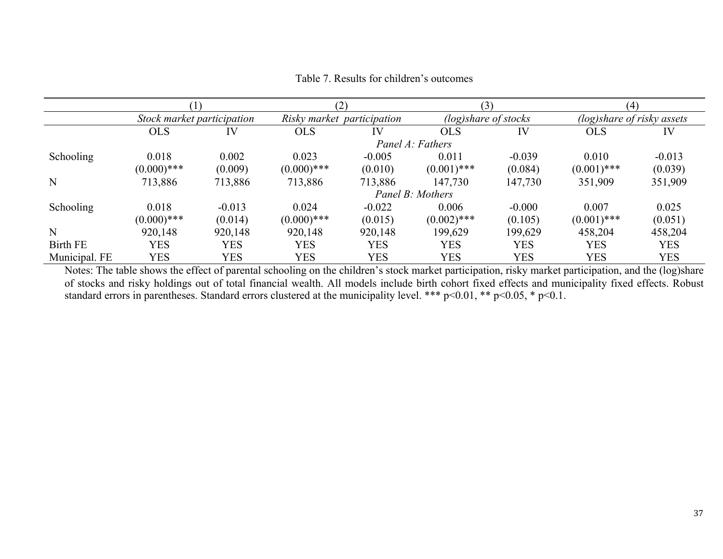|                  |                            |          |                            | (2)      |                      | (3)        |                            | (4)        |  |
|------------------|----------------------------|----------|----------------------------|----------|----------------------|------------|----------------------------|------------|--|
|                  | Stock market participation |          | Risky market participation |          | (log)share of stocks |            | (log)share of risky assets |            |  |
|                  | <b>OLS</b>                 | IV       | <b>OLS</b>                 | IV       | <b>OLS</b>           | IV         | <b>OLS</b>                 | IV         |  |
|                  |                            |          |                            |          | Panel A: Fathers     |            |                            |            |  |
| <b>Schooling</b> | 0.018                      | 0.002    | 0.023                      | $-0.005$ | 0.011                | $-0.039$   | 0.010                      | $-0.013$   |  |
|                  | $(0.000)$ ***              | (0.009)  | $(0.000)$ ***              | (0.010)  | $(0.001)$ ***        | (0.084)    | $(0.001)$ ***              | (0.039)    |  |
| N                | 713,886                    | 713,886  | 713,886                    | 713,886  | 147,730              | 147,730    | 351,909                    | 351,909    |  |
|                  |                            |          |                            |          | Panel B: Mothers     |            |                            |            |  |
| <b>Schooling</b> | 0.018                      | $-0.013$ | 0.024                      | $-0.022$ | 0.006                | $-0.000$   | 0.007                      | 0.025      |  |
|                  | $(0.000)$ ***              | (0.014)  | $(0.000)$ ***              | (0.015)  | $(0.002)$ ***        | (0.105)    | $(0.001)$ ***              | (0.051)    |  |
| N                | 920,148                    | 920,148  | 920,148                    | 920,148  | 199,629              | 199,629    | 458,204                    | 458,204    |  |
| Birth FE         | YES                        | YES      | <b>YES</b>                 | YES      | <b>YES</b>           | <b>YES</b> | <b>YES</b>                 | <b>YES</b> |  |
| Municipal. FE    | YES                        | YES      | <b>YES</b>                 | YES      | YES                  | <b>YES</b> | <b>YES</b>                 | <b>YES</b> |  |

### Table 7. Results for children's outcomes

Notes: The table shows the effect of parental schooling on the children's stock market participation, risky market participation, and the (log)share of stocks and risky holdings out of total financial wealth. All models include birth cohort fixed effects and municipality fixed effects. Robust standard errors in parentheses. Standard errors clustered at the municipality level. \*\*\* p<0.01, \*\* p<0.05, \* p<0.1.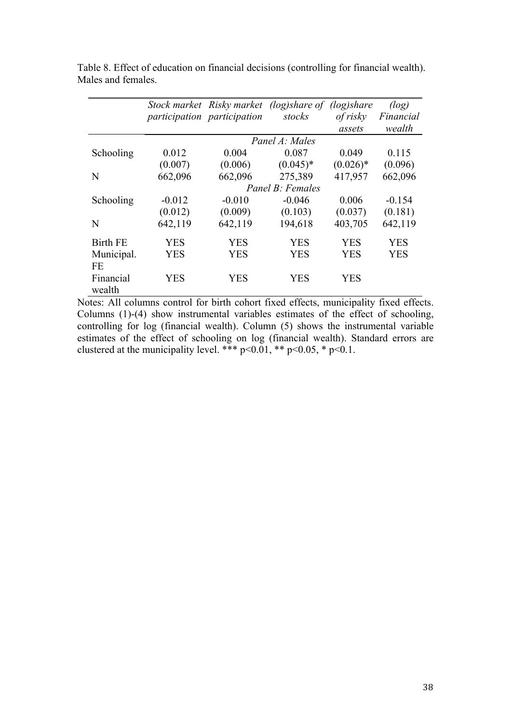|                 |          |                             | Stock market Risky market (log)share of (log)share |             | (log)      |
|-----------------|----------|-----------------------------|----------------------------------------------------|-------------|------------|
|                 |          | participation participation | stocks                                             | of risky    | Financial  |
|                 |          |                             |                                                    | assets      | wealth     |
|                 |          |                             | Panel A: Males                                     |             |            |
| Schooling       | 0.012    | 0.004                       | 0.087                                              | 0.049       | 0.115      |
|                 | (0.007)  | (0.006)                     | $(0.045)*$                                         | $(0.026)$ * | (0.096)    |
| N               | 662,096  | 662,096                     | 275,389                                            | 417,957     | 662,096    |
|                 |          |                             | Panel B: Females                                   |             |            |
| Schooling       | $-0.012$ | $-0.010$                    | $-0.046$                                           | 0.006       | $-0.154$   |
|                 | (0.012)  | (0.009)                     | (0.103)                                            | (0.037)     | (0.181)    |
| N               | 642,119  | 642,119                     | 194,618                                            | 403,705     | 642,119    |
| <b>Birth FE</b> | YES      | YES                         | YES                                                | YES         | <b>YES</b> |
| Municipal.      | YES      | <b>YES</b>                  | <b>YES</b>                                         | <b>YES</b>  | <b>YES</b> |
| FE              |          |                             |                                                    |             |            |
| Financial       | YES      | YES                         | <b>YES</b>                                         | <b>YES</b>  |            |
| wealth          |          |                             |                                                    |             |            |

Table 8. Effect of education on financial decisions (controlling for financial wealth). Males and females.

Notes: All columns control for birth cohort fixed effects, municipality fixed effects. Columns (1)-(4) show instrumental variables estimates of the effect of schooling, controlling for log (financial wealth). Column (5) shows the instrumental variable estimates of the effect of schooling on log (financial wealth). Standard errors are clustered at the municipality level. \*\*\*  $p<0.01$ , \*\*  $p<0.05$ , \*  $p<0.1$ .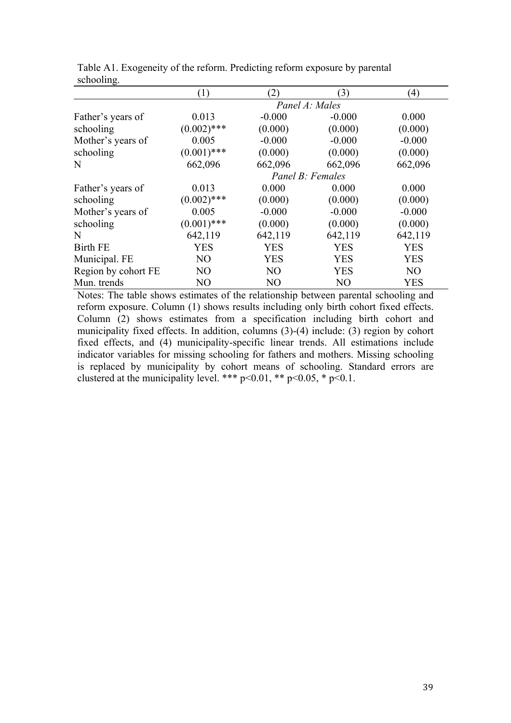|                     | $\left(1\right)$ | (2)            | (3)              | (4)            |
|---------------------|------------------|----------------|------------------|----------------|
|                     |                  |                | Panel A: Males   |                |
| Father's years of   | 0.013            | $-0.000$       | $-0.000$         | 0.000          |
| schooling           | $(0.002)$ ***    | (0.000)        | (0.000)          | (0.000)        |
| Mother's years of   | 0.005            | $-0.000$       | $-0.000$         | $-0.000$       |
| schooling           | $(0.001)$ ***    | (0.000)        | (0.000)          | (0.000)        |
| N                   | 662,096          | 662,096        | 662,096          | 662,096        |
|                     |                  |                | Panel B: Females |                |
| Father's years of   | 0.013            | 0.000          | 0.000            | 0.000          |
| schooling           | $(0.002)$ ***    | (0.000)        | (0.000)          | (0.000)        |
| Mother's years of   | 0.005            | $-0.000$       | $-0.000$         | $-0.000$       |
| schooling           | $(0.001)$ ***    | (0.000)        | (0.000)          | (0.000)        |
| N                   | 642,119          | 642,119        | 642,119          | 642,119        |
| <b>Birth FE</b>     | <b>YES</b>       | <b>YES</b>     | <b>YES</b>       | <b>YES</b>     |
| Municipal. FE       | N <sub>O</sub>   | <b>YES</b>     | <b>YES</b>       | <b>YES</b>     |
| Region by cohort FE | N <sub>O</sub>   | N <sub>O</sub> | <b>YES</b>       | N <sub>O</sub> |
| Mun. trends         | N <sub>O</sub>   | N <sub>O</sub> | N <sub>O</sub>   | <b>YES</b>     |

Table A1. Exogeneity of the reform. Predicting reform exposure by parental schooling.

Notes: The table shows estimates of the relationship between parental schooling and reform exposure. Column (1) shows results including only birth cohort fixed effects. Column (2) shows estimates from a specification including birth cohort and municipality fixed effects. In addition, columns (3)-(4) include: (3) region by cohort fixed effects, and (4) municipality-specific linear trends. All estimations include indicator variables for missing schooling for fathers and mothers. Missing schooling is replaced by municipality by cohort means of schooling. Standard errors are clustered at the municipality level. \*\*\*  $p<0.01$ , \*\*  $p<0.05$ , \*  $p<0.1$ .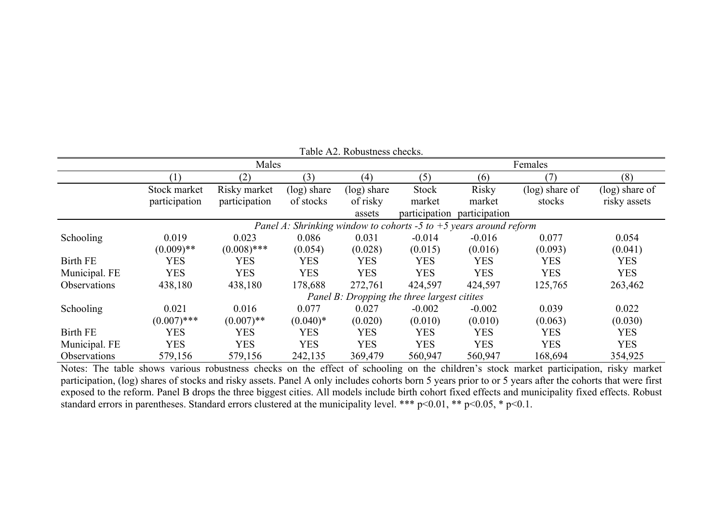| Table A2. Robustness checks. |               |               |                |                |                                             |                                                                     |                   |                   |  |
|------------------------------|---------------|---------------|----------------|----------------|---------------------------------------------|---------------------------------------------------------------------|-------------------|-------------------|--|
|                              |               | Males         |                |                |                                             | Females                                                             |                   |                   |  |
|                              | (1)           | (2)           | (3)            | (4)            | (5)                                         | (6)                                                                 | 7                 | (8)               |  |
|                              | Stock market  | Risky market  | $(\log)$ share | $(\log)$ share | Stock                                       | Risky                                                               | $(\log)$ share of | $(\log)$ share of |  |
|                              | participation | participation | of stocks      | of risky       | market                                      | market                                                              | stocks            | risky assets      |  |
|                              |               |               |                | assets         | participation                               | participation                                                       |                   |                   |  |
|                              |               |               |                |                |                                             | Panel A: Shrinking window to cohorts -5 to $+5$ years around reform |                   |                   |  |
| Schooling                    | 0.019         | 0.023         | 0.086          | 0.031          | $-0.014$                                    | $-0.016$                                                            | 0.077             | 0.054             |  |
|                              | $(0.009)$ **  | $(0.008)$ *** | (0.054)        | (0.028)        | (0.015)                                     | (0.016)                                                             | (0.093)           | (0.041)           |  |
| <b>Birth FE</b>              | <b>YES</b>    | <b>YES</b>    | <b>YES</b>     | <b>YES</b>     | <b>YES</b>                                  | <b>YES</b>                                                          | <b>YES</b>        | <b>YES</b>        |  |
| Municipal. FE                | <b>YES</b>    | <b>YES</b>    | <b>YES</b>     | <b>YES</b>     | <b>YES</b>                                  | <b>YES</b>                                                          | <b>YES</b>        | <b>YES</b>        |  |
| Observations                 | 438,180       | 438,180       | 178,688        | 272,761        | 424,597                                     | 424,597                                                             | 125,765           | 263,462           |  |
|                              |               |               |                |                | Panel B: Dropping the three largest citites |                                                                     |                   |                   |  |
| Schooling                    | 0.021         | 0.016         | 0.077          | 0.027          | $-0.002$                                    | $-0.002$                                                            | 0.039             | 0.022             |  |
|                              | $(0.007)$ *** | $(0.007)$ **  | $(0.040)*$     | (0.020)        | (0.010)                                     | (0.010)                                                             | (0.063)           | (0.030)           |  |
| <b>Birth FE</b>              | <b>YES</b>    | <b>YES</b>    | <b>YES</b>     | <b>YES</b>     | <b>YES</b>                                  | YES                                                                 | <b>YES</b>        | <b>YES</b>        |  |
| Municipal. FE                | <b>YES</b>    | <b>YES</b>    | <b>YES</b>     | <b>YES</b>     | <b>YES</b>                                  | <b>YES</b>                                                          | <b>YES</b>        | <b>YES</b>        |  |
| Observations                 | 579,156       | 579,156       | 242,135        | 369,479        | 560,947                                     | 560,947                                                             | 168,694           | 354,925           |  |

Notes: The table shows various robustness checks on the effect of schooling on the children's stock market participation, risky market participation, (log) shares of stocks and risky assets. Panel A only includes cohorts born 5 years prior to or 5 years after the cohorts that were first exposed to the reform. Panel B drops the three biggest cities. All models include birth cohort fixed effects and municipality fixed effects. Robust standard errors in parentheses. Standard errors clustered at the municipality level. \*\*\*  $p<0.01$ , \*\*  $p<0.05$ , \*  $p<0.1$ .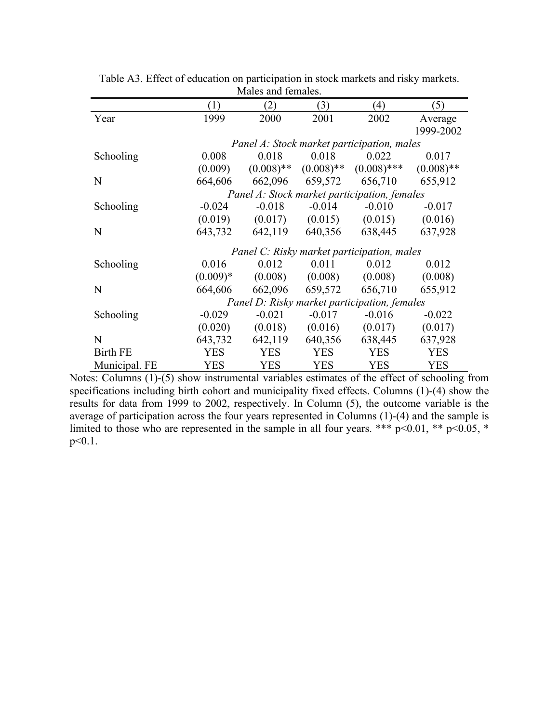|                 | (1)        | (2)          | (3)          | (4)                                          | (5)          |
|-----------------|------------|--------------|--------------|----------------------------------------------|--------------|
| Year            | 1999       | 2000         | 2001         | 2002                                         | Average      |
|                 |            |              |              |                                              | 1999-2002    |
|                 |            |              |              | Panel A: Stock market participation, males   |              |
| Schooling       | 0.008      | 0.018        | 0.018        | 0.022                                        | 0.017        |
|                 | (0.009)    | $(0.008)$ ** | $(0.008)$ ** | $(0.008)$ ***                                | $(0.008)$ ** |
| N               | 664,606    | 662,096      | 659,572      | 656,710                                      | 655,912      |
|                 |            |              |              | Panel A: Stock market participation, females |              |
| Schooling       | $-0.024$   | $-0.018$     | $-0.014$     | $-0.010$                                     | $-0.017$     |
|                 | (0.019)    | (0.017)      | (0.015)      | (0.015)                                      | (0.016)      |
| N               | 643,732    | 642,119      | 640,356      | 638,445                                      | 637,928      |
|                 |            |              |              | Panel C: Risky market participation, males   |              |
|                 |            |              |              |                                              |              |
| Schooling       | 0.016      | 0.012        | 0.011        | 0.012                                        | 0.012        |
|                 | $(0.009)*$ | (0.008)      | (0.008)      | (0.008)                                      | (0.008)      |
| N               | 664,606    | 662,096      | 659,572      | 656,710                                      | 655,912      |
|                 |            |              |              | Panel D: Risky market participation, females |              |
| Schooling       | $-0.029$   | $-0.021$     | $-0.017$     | $-0.016$                                     | $-0.022$     |
|                 | (0.020)    | (0.018)      | (0.016)      | (0.017)                                      | (0.017)      |
| N               | 643,732    | 642,119      | 640,356      | 638,445                                      | 637,928      |
| <b>Birth FE</b> | <b>YES</b> | <b>YES</b>   | <b>YES</b>   | <b>YES</b>                                   | <b>YES</b>   |
| Municipal. FE   | <b>YES</b> | <b>YES</b>   | <b>YES</b>   | <b>YES</b>                                   | <b>YES</b>   |

Table A3. Effect of education on participation in stock markets and risky markets. Males and females.

Notes: Columns (1)-(5) show instrumental variables estimates of the effect of schooling from specifications including birth cohort and municipality fixed effects. Columns (1)-(4) show the results for data from 1999 to 2002, respectively. In Column (5), the outcome variable is the average of participation across the four years represented in Columns (1)-(4) and the sample is limited to those who are represented in the sample in all four years. \*\*\*  $p<0.01$ , \*\*  $p<0.05$ , \* p<0.1.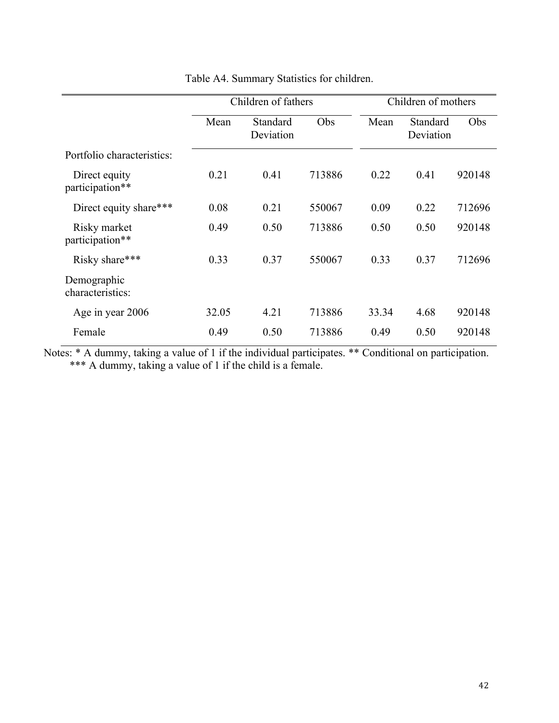|                                  |       | Children of fathers   |        | Children of mothers |                       |        |
|----------------------------------|-------|-----------------------|--------|---------------------|-----------------------|--------|
|                                  | Mean  | Standard<br>Deviation | Obs    | Mean                | Standard<br>Deviation | Obs    |
| Portfolio characteristics:       |       |                       |        |                     |                       |        |
| Direct equity<br>participation** | 0.21  | 0.41                  | 713886 | 0.22                | 0.41                  | 920148 |
| Direct equity share***           | 0.08  | 0.21                  | 550067 | 0.09                | 0.22                  | 712696 |
| Risky market<br>participation**  | 0.49  | 0.50                  | 713886 | 0.50                | 0.50                  | 920148 |
| Risky share***                   | 0.33  | 0.37                  | 550067 | 0.33                | 0.37                  | 712696 |
| Demographic<br>characteristics:  |       |                       |        |                     |                       |        |
| Age in year 2006                 | 32.05 | 4.21                  | 713886 | 33.34               | 4.68                  | 920148 |
| Female                           | 0.49  | 0.50                  | 713886 | 0.49                | 0.50                  | 920148 |

Table A4. Summary Statistics for children.

Notes: \* A dummy, taking a value of 1 if the individual participates. \*\* Conditional on participation. \*\*\* A dummy, taking a value of 1 if the child is a female.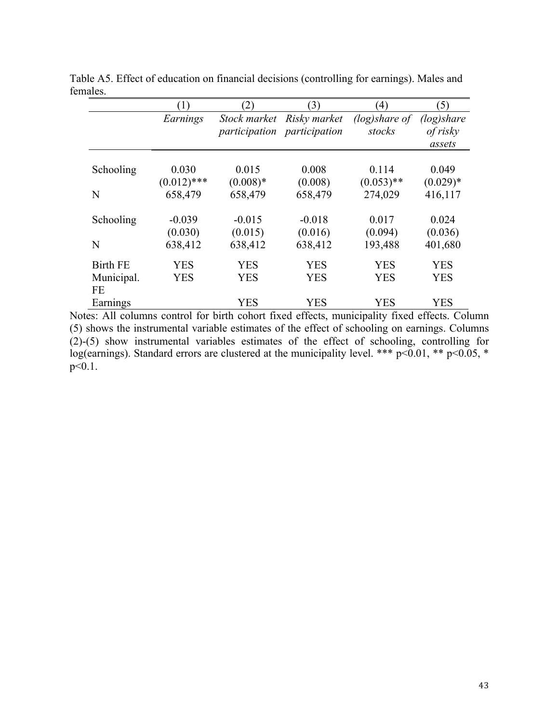|                 |               | (2)          | (3)                         | $\left(4\right)$ | (5)         |
|-----------------|---------------|--------------|-----------------------------|------------------|-------------|
|                 | Earnings      | Stock market | Risky market                | $(log)$ share of | (log) share |
|                 |               |              | participation participation | stocks           | of risky    |
|                 |               |              |                             |                  | assets      |
|                 |               |              |                             |                  |             |
| Schooling       | 0.030         | 0.015        | 0.008                       | 0.114            | 0.049       |
|                 | $(0.012)$ *** | $(0.008)*$   | (0.008)                     | $(0.053)$ **     | $(0.029)*$  |
| N               | 658,479       | 658,479      | 658,479                     | 274,029          | 416,117     |
| Schooling       | $-0.039$      | $-0.015$     | $-0.018$                    | 0.017            | 0.024       |
|                 | (0.030)       | (0.015)      | (0.016)                     | (0.094)          | (0.036)     |
| N               | 638,412       | 638,412      | 638,412                     | 193,488          | 401,680     |
| <b>Birth FE</b> | YES           | YES          | <b>YES</b>                  | <b>YES</b>       | YES         |
| Municipal.      | <b>YES</b>    | <b>YES</b>   | <b>YES</b>                  | <b>YES</b>       | <b>YES</b>  |
| <b>FE</b>       |               |              |                             |                  |             |
| Earnings        |               | <b>YES</b>   | <b>YES</b>                  | <b>YES</b>       | <b>YES</b>  |

Table A5. Effect of education on financial decisions (controlling for earnings). Males and females.

Notes: All columns control for birth cohort fixed effects, municipality fixed effects. Column (5) shows the instrumental variable estimates of the effect of schooling on earnings. Columns (2)-(5) show instrumental variables estimates of the effect of schooling, controlling for log(earnings). Standard errors are clustered at the municipality level. \*\*\*  $p<0.01$ , \*\*  $p<0.05$ , \* p<0.1.